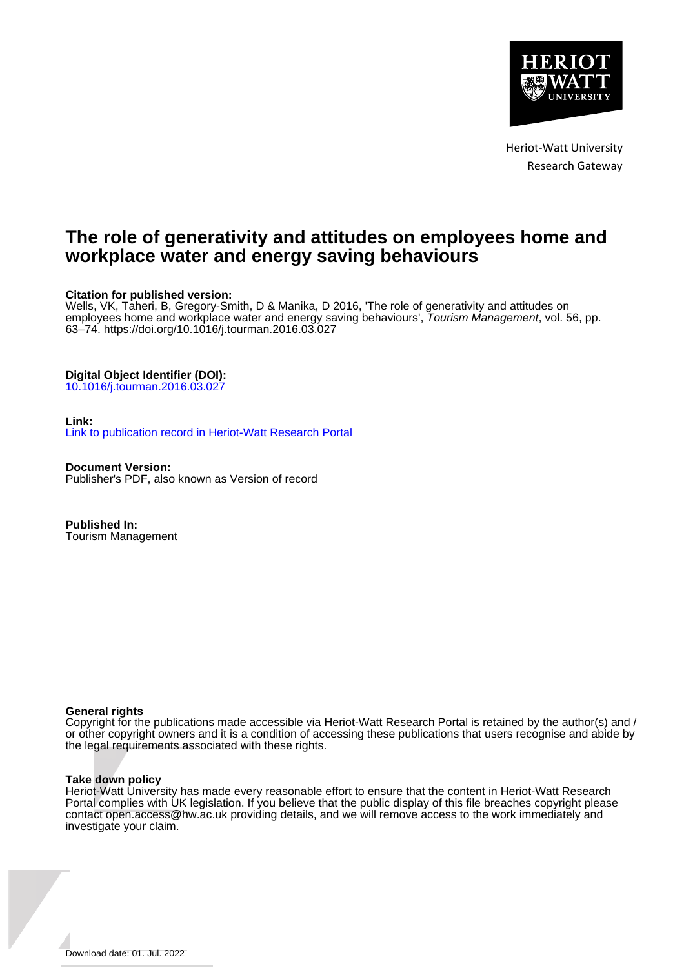

Heriot-Watt University Research Gateway

# **The role of generativity and attitudes on employees home and workplace water and energy saving behaviours**

# **Citation for published version:**

Wells, VK, Taheri, B, Gregory-Smith, D & Manika, D 2016, 'The role of generativity and attitudes on employees home and workplace water and energy saving behaviours', Tourism Management, vol. 56, pp. 63–74.<https://doi.org/10.1016/j.tourman.2016.03.027>

# **Digital Object Identifier (DOI):**

[10.1016/j.tourman.2016.03.027](https://doi.org/10.1016/j.tourman.2016.03.027)

## **Link:**

[Link to publication record in Heriot-Watt Research Portal](https://researchportal.hw.ac.uk/en/publications/0928540d-52c7-404f-8cec-161ebc65e3be)

**Document Version:** Publisher's PDF, also known as Version of record

**Published In:** Tourism Management

## **General rights**

Copyright for the publications made accessible via Heriot-Watt Research Portal is retained by the author(s) and / or other copyright owners and it is a condition of accessing these publications that users recognise and abide by the legal requirements associated with these rights.

## **Take down policy**

Heriot-Watt University has made every reasonable effort to ensure that the content in Heriot-Watt Research Portal complies with UK legislation. If you believe that the public display of this file breaches copyright please contact open.access@hw.ac.uk providing details, and we will remove access to the work immediately and investigate your claim.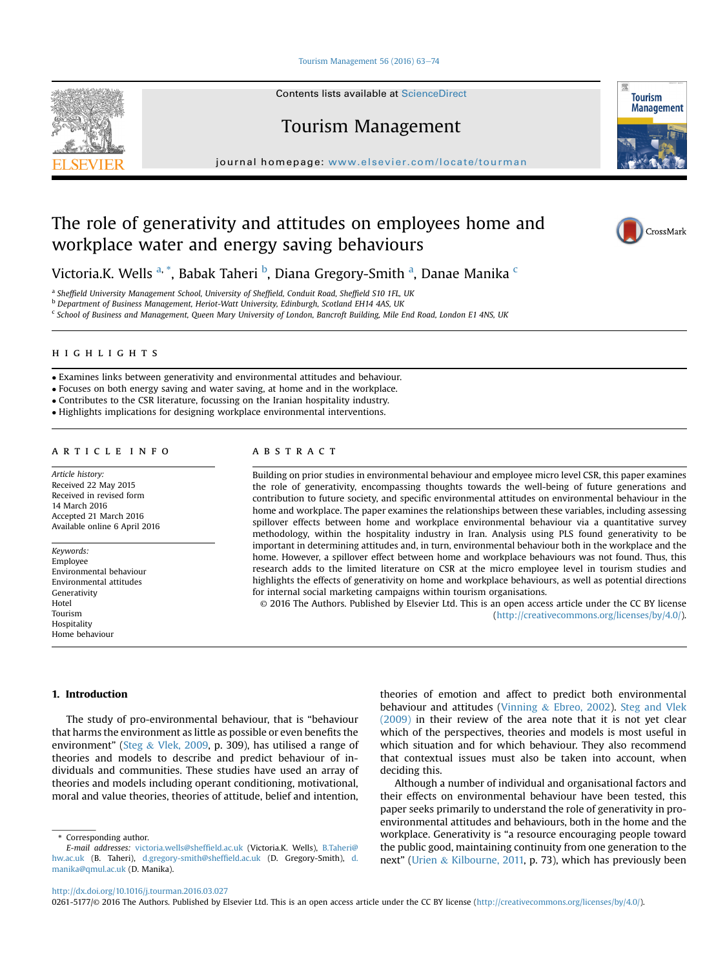Tourism Management 56 (2016)  $63-74$  $63-74$ 



Contents lists available at ScienceDirect

# Tourism Management

journal homepage: [www.elsevier.com/locate/tourman](http://www.elsevier.com/locate/tourman)

# The role of generativity and attitudes on employees home and workplace water and energy saving behaviours



**Tourism Management** 



Victoria.K. Wells <sup>a, \*</sup>, Babak Taheri <sup>b</sup>, Diana Gregory-Smith <sup>a</sup>, Danae Manika <sup>c</sup>

<sup>a</sup> Sheffield University Management School, University of Sheffield, Conduit Road, Sheffield S10 1FL, UK

b Department of Business Management, Heriot-Watt University, Edinburgh, Scotland EH14 4AS, UK

<sup>c</sup> School of Business and Management, Queen Mary University of London, Bancroft Building, Mile End Road, London E1 4NS, UK

#### **HIGHLIGHTS** highlights are the control of

Examines links between generativity and environmental attitudes and behaviour.

Focuses on both energy saving and water saving, at home and in the workplace.

Contributes to the CSR literature, focussing on the Iranian hospitality industry.

Highlights implications for designing workplace environmental interventions.

Article history: Received 22 May 2015 Received in revised form 14 March 2016 Accepted 21 March 2016 Available online 6 April 2016

Keywords: Employee Environmental behaviour Environmental attitudes Generativity Hotel Tourism Hospitality Home behaviour

Building on prior studies in environmental behaviour and employee micro level CSR, this paper examines the role of generativity, encompassing thoughts towards the well-being of future generations and contribution to future society, and specific environmental attitudes on environmental behaviour in the home and workplace. The paper examines the relationships between these variables, including assessing spillover effects between home and workplace environmental behaviour via a quantitative survey methodology, within the hospitality industry in Iran. Analysis using PLS found generativity to be important in determining attitudes and, in turn, environmental behaviour both in the workplace and the home. However, a spillover effect between home and workplace behaviours was not found. Thus, this research adds to the limited literature on CSR at the micro employee level in tourism studies and highlights the effects of generativity on home and workplace behaviours, as well as potential directions for internal social marketing campaigns within tourism organisations.

© 2016 The Authors. Published by Elsevier Ltd. This is an open access article under the CC BY license [\(http://creativecommons.org/licenses/by/4.0/](http://creativecommons.org/licenses/by/4.0/)).

#### 1. Introduction

The study of pro-environmental behaviour, that is "behaviour that harms the environment as little as possible or even benefits the environment" [\(Steg](#page-11-0) & [Vlek, 2009,](#page-11-0) p. 309), has utilised a range of theories and models to describe and predict behaviour of individuals and communities. These studies have used an array of theories and models including operant conditioning, motivational, moral and value theories, theories of attitude, belief and intention,

\* Corresponding author.

theories of emotion and affect to predict both environmental behaviour and attitudes ([Vinning](#page-11-0) & [Ebreo, 2002](#page-11-0)). [Steg and Vlek](#page-11-0) [\(2009\)](#page-11-0) in their review of the area note that it is not yet clear which of the perspectives, theories and models is most useful in which situation and for which behaviour. They also recommend that contextual issues must also be taken into account, when deciding this.

Although a number of individual and organisational factors and their effects on environmental behaviour have been tested, this paper seeks primarily to understand the role of generativity in proenvironmental attitudes and behaviours, both in the home and the workplace. Generativity is "a resource encouraging people toward the public good, maintaining continuity from one generation to the next" ([Urien](#page-11-0) & [Kilbourne, 2011,](#page-11-0) p. 73), which has previously been

<http://dx.doi.org/10.1016/j.tourman.2016.03.027>

0261-5177/© 2016 The Authors. Published by Elsevier Ltd. This is an open access article under the CC BY license ([http://creativecommons.org/licenses/by/4.0/\)](http://creativecommons.org/licenses/by/4.0/).

E-mail addresses: [victoria.wells@shef](mailto:victoria.wells@sheffield.ac.uk)field.ac.uk (Victoria.K. Wells), [B.Taheri@](mailto:B.Taheri@hw.ac.uk) [hw.ac.uk](mailto:B.Taheri@hw.ac.uk) (B. Taheri), [d.gregory-smith@shef](mailto:d.gregory-smith@sheffield.ac.uk)field.ac.uk (D. Gregory-Smith), [d.](mailto:d.manika@qmul.ac.uk) [manika@qmul.ac.uk](mailto:d.manika@qmul.ac.uk) (D. Manika).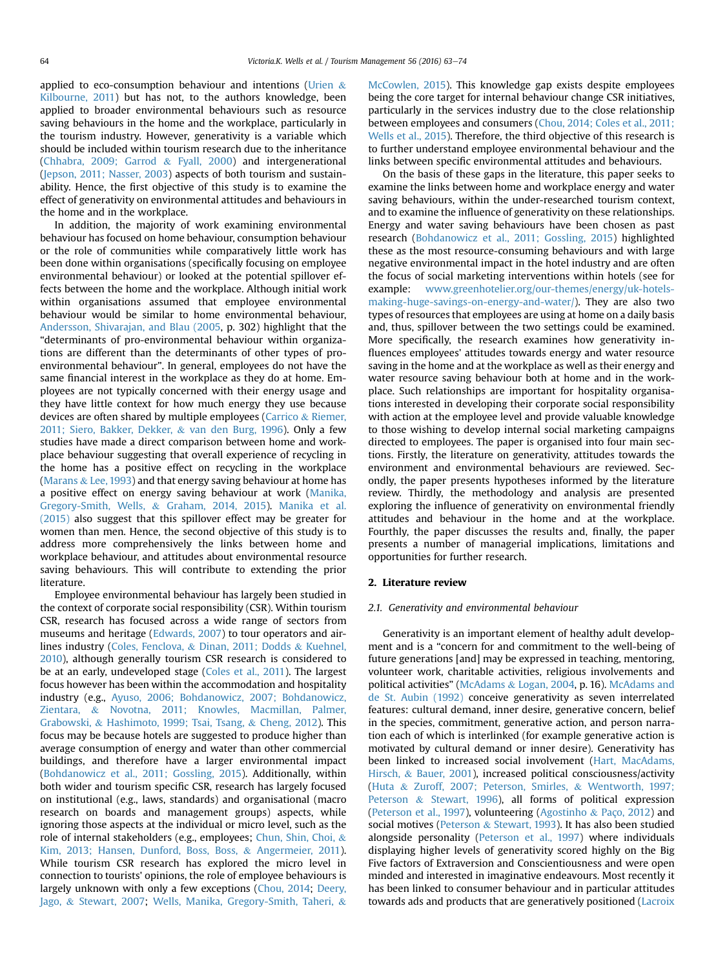applied to eco-consumption behaviour and intentions ([Urien](#page-11-0)  $\&$ [Kilbourne, 2011](#page-11-0)) but has not, to the authors knowledge, been applied to broader environmental behaviours such as resource saving behaviours in the home and the workplace, particularly in the tourism industry. However, generativity is a variable which should be included within tourism research due to the inheritance ([Chhabra, 2009; Garrod](#page-10-0) & [Fyall, 2000](#page-10-0)) and intergenerational ([Jepson, 2011; Nasser, 2003\)](#page-10-0) aspects of both tourism and sustainability. Hence, the first objective of this study is to examine the effect of generativity on environmental attitudes and behaviours in the home and in the workplace.

In addition, the majority of work examining environmental behaviour has focused on home behaviour, consumption behaviour or the role of communities while comparatively little work has been done within organisations (specifically focusing on employee environmental behaviour) or looked at the potential spillover effects between the home and the workplace. Although initial work within organisations assumed that employee environmental behaviour would be similar to home environmental behaviour, [Andersson, Shivarajan, and Blau \(2005,](#page-9-0) p. 302) highlight that the "determinants of pro-environmental behaviour within organizations are different than the determinants of other types of proenvironmental behaviour". In general, employees do not have the same financial interest in the workplace as they do at home. Employees are not typically concerned with their energy usage and they have little context for how much energy they use because devices are often shared by multiple employees ([Carrico](#page-10-0) & [Riemer,](#page-10-0) [2011; Siero, Bakker, Dekker,](#page-10-0) & [van den Burg, 1996\)](#page-10-0). Only a few studies have made a direct comparison between home and workplace behaviour suggesting that overall experience of recycling in the home has a positive effect on recycling in the workplace ([Marans](#page-11-0) & [Lee, 1993\)](#page-11-0) and that energy saving behaviour at home has a positive effect on energy saving behaviour at work ([Manika,](#page-11-0) [Gregory-Smith, Wells,](#page-11-0) & [Graham, 2014, 2015](#page-11-0)). [Manika et al.](#page-11-0) [\(2015\)](#page-11-0) also suggest that this spillover effect may be greater for women than men. Hence, the second objective of this study is to address more comprehensively the links between home and workplace behaviour, and attitudes about environmental resource saving behaviours. This will contribute to extending the prior literature.

Employee environmental behaviour has largely been studied in the context of corporate social responsibility (CSR). Within tourism CSR, research has focused across a wide range of sectors from museums and heritage [\(Edwards, 2007\)](#page-10-0) to tour operators and airlines industry [\(Coles, Fenclova,](#page-10-0) & [Dinan, 2011; Dodds](#page-10-0) & [Kuehnel,](#page-10-0) [2010](#page-10-0)), although generally tourism CSR research is considered to be at an early, undeveloped stage ([Coles et al., 2011\)](#page-10-0). The largest focus however has been within the accommodation and hospitality industry (e.g., [Ayuso, 2006; Bohdanowicz, 2007; Bohdanowicz,](#page-9-0) [Zientara,](#page-9-0) & [Novotna, 2011; Knowles, Macmillan, Palmer,](#page-9-0) [Grabowski,](#page-9-0) & [Hashimoto, 1999; Tsai, Tsang,](#page-9-0) & [Cheng, 2012](#page-9-0)). This focus may be because hotels are suggested to produce higher than average consumption of energy and water than other commercial buildings, and therefore have a larger environmental impact ([Bohdanowicz et al., 2011; Gossling, 2015\)](#page-10-0). Additionally, within both wider and tourism specific CSR, research has largely focused on institutional (e.g., laws, standards) and organisational (macro research on boards and management groups) aspects, while ignoring those aspects at the individual or micro level, such as the role of internal stakeholders (e.g., employees; [Chun, Shin, Choi,](#page-10-0) & [Kim, 2013; Hansen, Dunford, Boss, Boss,](#page-10-0) & [Angermeier, 2011\)](#page-10-0). While tourism CSR research has explored the micro level in connection to tourists' opinions, the role of employee behaviours is largely unknown with only a few exceptions [\(Chou, 2014;](#page-10-0) [Deery,](#page-10-0) [Jago,](#page-10-0) & [Stewart, 2007;](#page-10-0) [Wells, Manika, Gregory-Smith, Taheri,](#page-11-0) &

[McCowlen, 2015](#page-11-0)). This knowledge gap exists despite employees being the core target for internal behaviour change CSR initiatives, particularly in the services industry due to the close relationship between employees and consumers [\(Chou, 2014; Coles et al., 2011;](#page-10-0) [Wells et al., 2015](#page-10-0)). Therefore, the third objective of this research is to further understand employee environmental behaviour and the links between specific environmental attitudes and behaviours.

On the basis of these gaps in the literature, this paper seeks to examine the links between home and workplace energy and water saving behaviours, within the under-researched tourism context, and to examine the influence of generativity on these relationships. Energy and water saving behaviours have been chosen as past research ([Bohdanowicz et al., 2011; Gossling, 2015](#page-10-0)) highlighted these as the most resource-consuming behaviours and with large negative environmental impact in the hotel industry and are often the focus of social marketing interventions within hotels (see for example: [www.greenhotelier.org/our-themes/energy/uk-hotels](http://www.greenhotelier.org/our-themes/energy/uk-hotels-making-huge-savings-on-energy-and-water/)[making-huge-savings-on-energy-and-water/\)](http://www.greenhotelier.org/our-themes/energy/uk-hotels-making-huge-savings-on-energy-and-water/). They are also two types of resources that employees are using at home on a daily basis and, thus, spillover between the two settings could be examined. More specifically, the research examines how generativity influences employees' attitudes towards energy and water resource saving in the home and at the workplace as well as their energy and water resource saving behaviour both at home and in the workplace. Such relationships are important for hospitality organisations interested in developing their corporate social responsibility with action at the employee level and provide valuable knowledge to those wishing to develop internal social marketing campaigns directed to employees. The paper is organised into four main sections. Firstly, the literature on generativity, attitudes towards the environment and environmental behaviours are reviewed. Secondly, the paper presents hypotheses informed by the literature review. Thirdly, the methodology and analysis are presented exploring the influence of generativity on environmental friendly attitudes and behaviour in the home and at the workplace. Fourthly, the paper discusses the results and, finally, the paper presents a number of managerial implications, limitations and opportunities for further research.

#### 2. Literature review

#### 2.1. Generativity and environmental behaviour

Generativity is an important element of healthy adult development and is a "concern for and commitment to the well-being of future generations [and] may be expressed in teaching, mentoring, volunteer work, charitable activities, religious involvements and political activities" ([McAdams](#page-11-0) & [Logan, 2004,](#page-11-0) p. 16). [McAdams and](#page-11-0) [de St. Aubin \(1992\)](#page-11-0) conceive generativity as seven interrelated features: cultural demand, inner desire, generative concern, belief in the species, commitment, generative action, and person narration each of which is interlinked (for example generative action is motivated by cultural demand or inner desire). Generativity has been linked to increased social involvement [\(Hart, MacAdams,](#page-10-0) [Hirsch,](#page-10-0) & [Bauer, 2001](#page-10-0)), increased political consciousness/activity ([Huta](#page-10-0) & [Zuroff, 2007; Peterson, Smirles,](#page-10-0) & [Wentworth, 1997;](#page-10-0) [Peterson](#page-10-0) & [Stewart, 1996](#page-10-0)), all forms of political expression ([Peterson et al., 1997](#page-11-0)), volunteering ([Agostinho](#page-9-0) & [Paço, 2012\)](#page-9-0) and social motives ([Peterson](#page-11-0) & [Stewart, 1993\)](#page-11-0). It has also been studied alongside personality ([Peterson et al., 1997\)](#page-11-0) where individuals displaying higher levels of generativity scored highly on the Big Five factors of Extraversion and Conscientiousness and were open minded and interested in imaginative endeavours. Most recently it has been linked to consumer behaviour and in particular attitudes towards ads and products that are generatively positioned ([Lacroix](#page-10-0)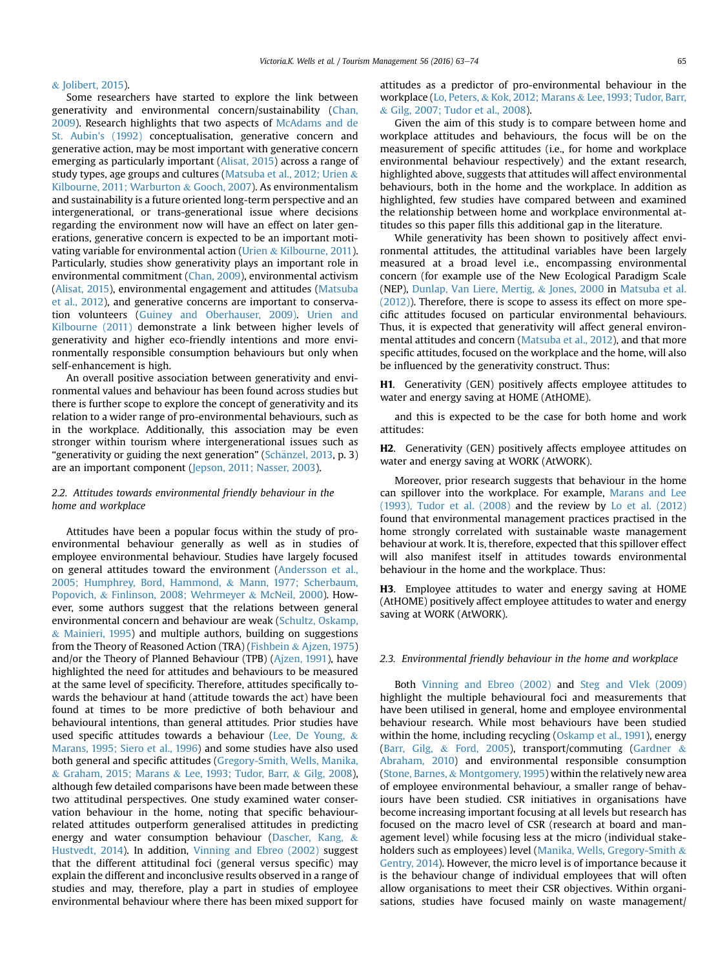#### & [Jolibert, 2015](#page-10-0)).

Some researchers have started to explore the link between generativity and environmental concern/sustainability ([Chan,](#page-10-0) [2009\)](#page-10-0). Research highlights that two aspects of [McAdams and de](#page-11-0) [St. Aubin's \(1992\)](#page-11-0) conceptualisation, generative concern and generative action, may be most important with generative concern emerging as particularly important ([Alisat, 2015\)](#page-9-0) across a range of study types, age groups and cultures ([Matsuba et al., 2012; Urien](#page-11-0) & [Kilbourne, 2011; Warburton](#page-11-0) & [Gooch, 2007](#page-11-0)). As environmentalism and sustainability is a future oriented long-term perspective and an intergenerational, or trans-generational issue where decisions regarding the environment now will have an effect on later generations, generative concern is expected to be an important motivating variable for environmental action ([Urien](#page-11-0) & [Kilbourne, 2011\)](#page-11-0). Particularly, studies show generativity plays an important role in environmental commitment ([Chan, 2009](#page-10-0)), environmental activism ([Alisat, 2015\)](#page-9-0), environmental engagement and attitudes [\(Matsuba](#page-11-0) [et al., 2012\)](#page-11-0), and generative concerns are important to conservation volunteers [\(Guiney and Oberhauser, 2009\).](#page-10-0) [Urien and](#page-11-0) [Kilbourne \(2011\)](#page-11-0) demonstrate a link between higher levels of generativity and higher eco-friendly intentions and more environmentally responsible consumption behaviours but only when self-enhancement is high.

An overall positive association between generativity and environmental values and behaviour has been found across studies but there is further scope to explore the concept of generativity and its relation to a wider range of pro-environmental behaviours, such as in the workplace. Additionally, this association may be even stronger within tourism where intergenerational issues such as "generativity or guiding the next generation" [\(Sch](#page-11-0)ä[nzel, 2013](#page-11-0), p. 3) are an important component ([Jepson, 2011; Nasser, 2003\)](#page-10-0).

### 2.2. Attitudes towards environmental friendly behaviour in the home and workplace

Attitudes have been a popular focus within the study of proenvironmental behaviour generally as well as in studies of employee environmental behaviour. Studies have largely focused on general attitudes toward the environment [\(Andersson et al.,](#page-9-0) [2005; Humphrey, Bord, Hammond,](#page-9-0) & [Mann, 1977; Scherbaum,](#page-9-0) [Popovich,](#page-9-0) & [Finlinson, 2008; Wehrmeyer](#page-9-0) & [McNeil, 2000\)](#page-9-0). However, some authors suggest that the relations between general environmental concern and behaviour are weak [\(Schultz, Oskamp,](#page-11-0) & [Mainieri, 1995\)](#page-11-0) and multiple authors, building on suggestions from the Theory of Reasoned Action (TRA) ([Fishbein](#page-10-0) & [Ajzen, 1975\)](#page-10-0) and/or the Theory of Planned Behaviour (TPB) ([Ajzen, 1991](#page-9-0)), have highlighted the need for attitudes and behaviours to be measured at the same level of specificity. Therefore, attitudes specifically towards the behaviour at hand (attitude towards the act) have been found at times to be more predictive of both behaviour and behavioural intentions, than general attitudes. Prior studies have used specific attitudes towards a behaviour ([Lee, De Young,](#page-10-0) & [Marans, 1995; Siero et al., 1996\)](#page-10-0) and some studies have also used both general and specific attitudes [\(Gregory-Smith, Wells, Manika,](#page-10-0) & [Graham, 2015; Marans](#page-10-0) & [Lee, 1993; Tudor, Barr,](#page-10-0) & [Gilg, 2008\)](#page-10-0), although few detailed comparisons have been made between these two attitudinal perspectives. One study examined water conservation behaviour in the home, noting that specific behaviourrelated attitudes outperform generalised attitudes in predicting energy and water consumption behaviour [\(Dascher, Kang,](#page-10-0) & [Hustvedt, 2014\)](#page-10-0). In addition, [Vinning and Ebreo \(2002\)](#page-11-0) suggest that the different attitudinal foci (general versus specific) may explain the different and inconclusive results observed in a range of studies and may, therefore, play a part in studies of employee environmental behaviour where there has been mixed support for

attitudes as a predictor of pro-environmental behaviour in the workplace [\(Lo, Peters,](#page-10-0) & [Kok, 2012; Marans](#page-10-0) & [Lee, 1993; Tudor, Barr,](#page-10-0) & [Gilg, 2007; Tudor et al., 2008](#page-10-0)).

Given the aim of this study is to compare between home and workplace attitudes and behaviours, the focus will be on the measurement of specific attitudes (i.e., for home and workplace environmental behaviour respectively) and the extant research, highlighted above, suggests that attitudes will affect environmental behaviours, both in the home and the workplace. In addition as highlighted, few studies have compared between and examined the relationship between home and workplace environmental attitudes so this paper fills this additional gap in the literature.

While generativity has been shown to positively affect environmental attitudes, the attitudinal variables have been largely measured at a broad level i.e., encompassing environmental concern (for example use of the New Ecological Paradigm Scale (NEP), [Dunlap, Van Liere, Mertig,](#page-10-0) & [Jones, 2000](#page-10-0) in [Matsuba et al.](#page-11-0) [\(2012\)\)](#page-11-0). Therefore, there is scope to assess its effect on more specific attitudes focused on particular environmental behaviours. Thus, it is expected that generativity will affect general environmental attitudes and concern [\(Matsuba et al., 2012](#page-11-0)), and that more specific attitudes, focused on the workplace and the home, will also be influenced by the generativity construct. Thus:

H1. Generativity (GEN) positively affects employee attitudes to water and energy saving at HOME (AtHOME).

and this is expected to be the case for both home and work attitudes:

H2. Generativity (GEN) positively affects employee attitudes on water and energy saving at WORK (AtWORK).

Moreover, prior research suggests that behaviour in the home can spillover into the workplace. For example, [Marans and Lee](#page-11-0) [\(1993\), Tudor et al. \(2008\)](#page-11-0) and the review by [Lo et al. \(2012\)](#page-10-0) found that environmental management practices practised in the home strongly correlated with sustainable waste management behaviour at work. It is, therefore, expected that this spillover effect will also manifest itself in attitudes towards environmental behaviour in the home and the workplace. Thus:

H3. Employee attitudes to water and energy saving at HOME (AtHOME) positively affect employee attitudes to water and energy saving at WORK (AtWORK).

### 2.3. Environmental friendly behaviour in the home and workplace

Both [Vinning and Ebreo \(2002\)](#page-11-0) and [Steg and Vlek \(2009\)](#page-11-0) highlight the multiple behavioural foci and measurements that have been utilised in general, home and employee environmental behaviour research. While most behaviours have been studied within the home, including recycling [\(Oskamp et al., 1991](#page-11-0)), energy ([Barr, Gilg,](#page-10-0) & [Ford, 2005\)](#page-10-0), transport/commuting [\(Gardner](#page-10-0) & [Abraham, 2010](#page-10-0)) and environmental responsible consumption ([Stone, Barnes,](#page-11-0) & [Montgomery, 1995\)](#page-11-0) within the relatively new area of employee environmental behaviour, a smaller range of behaviours have been studied. CSR initiatives in organisations have become increasing important focusing at all levels but research has focused on the macro level of CSR (research at board and management level) while focusing less at the micro (individual stakeholders such as employees) level ([Manika, Wells, Gregory-Smith](#page-11-0) & [Gentry, 2014](#page-11-0)). However, the micro level is of importance because it is the behaviour change of individual employees that will often allow organisations to meet their CSR objectives. Within organisations, studies have focused mainly on waste management/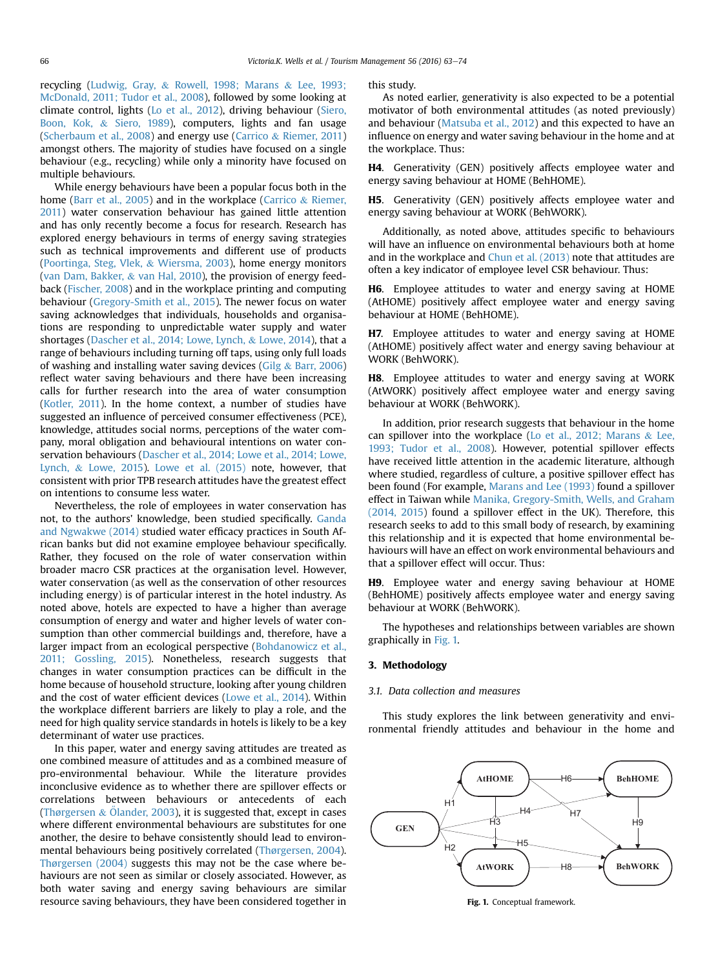recycling [\(Ludwig, Gray,](#page-11-0) & [Rowell, 1998; Marans](#page-11-0) & [Lee, 1993;](#page-11-0) [McDonald, 2011; Tudor et al., 2008](#page-11-0)), followed by some looking at climate control, lights ([Lo et al., 2012](#page-10-0)), driving behaviour [\(Siero,](#page-11-0) [Boon, Kok,](#page-11-0) & [Siero, 1989\)](#page-11-0), computers, lights and fan usage ([Scherbaum et al., 2008](#page-11-0)) and energy use [\(Carrico](#page-10-0) & [Riemer, 2011\)](#page-10-0) amongst others. The majority of studies have focused on a single behaviour (e.g., recycling) while only a minority have focused on multiple behaviours.

While energy behaviours have been a popular focus both in the home [\(Barr et al., 2005](#page-10-0)) and in the workplace [\(Carrico](#page-10-0) & [Riemer,](#page-10-0) [2011\)](#page-10-0) water conservation behaviour has gained little attention and has only recently become a focus for research. Research has explored energy behaviours in terms of energy saving strategies such as technical improvements and different use of products ([Poortinga, Steg, Vlek,](#page-11-0) & [Wiersma, 2003\)](#page-11-0), home energy monitors ([van Dam, Bakker,](#page-10-0) & [van Hal, 2010](#page-10-0)), the provision of energy feedback ([Fischer, 2008](#page-10-0)) and in the workplace printing and computing behaviour ([Gregory-Smith et al., 2015\)](#page-10-0). The newer focus on water saving acknowledges that individuals, households and organisations are responding to unpredictable water supply and water shortages [\(Dascher et al., 2014; Lowe, Lynch,](#page-10-0) & [Lowe, 2014\)](#page-10-0), that a range of behaviours including turning off taps, using only full loads of washing and installing water saving devices [\(Gilg](#page-10-0) & [Barr, 2006\)](#page-10-0) reflect water saving behaviours and there have been increasing calls for further research into the area of water consumption ([Kotler, 2011](#page-10-0)). In the home context, a number of studies have suggested an influence of perceived consumer effectiveness (PCE), knowledge, attitudes social norms, perceptions of the water company, moral obligation and behavioural intentions on water conservation behaviours ([Dascher et al., 2014; Lowe et al., 2014; Lowe,](#page-10-0) [Lynch,](#page-10-0)  $&$  [Lowe, 2015](#page-10-0)). [Lowe et al. \(2015\)](#page-10-0) note, however, that consistent with prior TPB research attitudes have the greatest effect on intentions to consume less water.

Nevertheless, the role of employees in water conservation has not, to the authors' knowledge, been studied specifically. [Ganda](#page-10-0) [and Ngwakwe \(2014\)](#page-10-0) studied water efficacy practices in South African banks but did not examine employee behaviour specifically. Rather, they focused on the role of water conservation within broader macro CSR practices at the organisation level. However, water conservation (as well as the conservation of other resources including energy) is of particular interest in the hotel industry. As noted above, hotels are expected to have a higher than average consumption of energy and water and higher levels of water consumption than other commercial buildings and, therefore, have a larger impact from an ecological perspective ([Bohdanowicz et al.,](#page-10-0) [2011; Gossling, 2015\)](#page-10-0). Nonetheless, research suggests that changes in water consumption practices can be difficult in the home because of household structure, looking after young children and the cost of water efficient devices [\(Lowe et al., 2014\)](#page-10-0). Within the workplace different barriers are likely to play a role, and the need for high quality service standards in hotels is likely to be a key determinant of water use practices.

In this paper, water and energy saving attitudes are treated as one combined measure of attitudes and as a combined measure of pro-environmental behaviour. While the literature provides inconclusive evidence as to whether there are spillover effects or correlations between behaviours or antecedents of each ([Thørgersen](#page-11-0)  $&$  Ö[lander, 2003](#page-11-0)), it is suggested that, except in cases where different environmental behaviours are substitutes for one another, the desire to behave consistently should lead to environmental behaviours being positively correlated ([Th](#page-11-0)ø[rgersen, 2004\)](#page-11-0). [Thørgersen \(2004\)](#page-11-0) suggests this may not be the case where behaviours are not seen as similar or closely associated. However, as both water saving and energy saving behaviours are similar resource saving behaviours, they have been considered together in this study.

As noted earlier, generativity is also expected to be a potential motivator of both environmental attitudes (as noted previously) and behaviour ([Matsuba et al., 2012](#page-11-0)) and this expected to have an influence on energy and water saving behaviour in the home and at the workplace. Thus:

H4. Generativity (GEN) positively affects employee water and energy saving behaviour at HOME (BehHOME).

H5. Generativity (GEN) positively affects employee water and energy saving behaviour at WORK (BehWORK).

Additionally, as noted above, attitudes specific to behaviours will have an influence on environmental behaviours both at home and in the workplace and [Chun et al. \(2013\)](#page-10-0) note that attitudes are often a key indicator of employee level CSR behaviour. Thus:

H6. Employee attitudes to water and energy saving at HOME (AtHOME) positively affect employee water and energy saving behaviour at HOME (BehHOME).

H7. Employee attitudes to water and energy saving at HOME (AtHOME) positively affect water and energy saving behaviour at WORK (BehWORK).

H8. Employee attitudes to water and energy saving at WORK (AtWORK) positively affect employee water and energy saving behaviour at WORK (BehWORK).

In addition, prior research suggests that behaviour in the home can spillover into the workplace ([Lo et al., 2012; Marans](#page-10-0)  $&$  [Lee,](#page-10-0) [1993; Tudor et al., 2008](#page-10-0)). However, potential spillover effects have received little attention in the academic literature, although where studied, regardless of culture, a positive spillover effect has been found (For example, [Marans and Lee \(1993\)](#page-11-0) found a spillover effect in Taiwan while [Manika, Gregory-Smith, Wells, and Graham](#page-11-0) [\(2014, 2015](#page-11-0)) found a spillover effect in the UK). Therefore, this research seeks to add to this small body of research, by examining this relationship and it is expected that home environmental behaviours will have an effect on work environmental behaviours and that a spillover effect will occur. Thus:

H9. Employee water and energy saving behaviour at HOME (BehHOME) positively affects employee water and energy saving behaviour at WORK (BehWORK).

The hypotheses and relationships between variables are shown graphically in Fig. 1.

#### 3. Methodology

#### 3.1. Data collection and measures

This study explores the link between generativity and environmental friendly attitudes and behaviour in the home and



Fig. 1. Conceptual framework.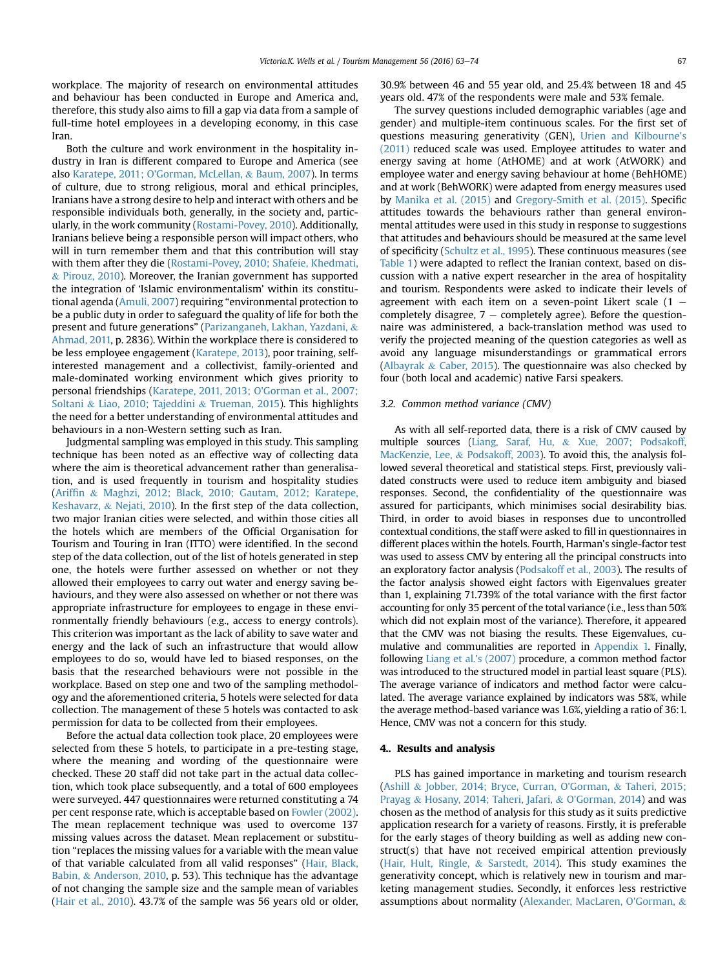workplace. The majority of research on environmental attitudes and behaviour has been conducted in Europe and America and, therefore, this study also aims to fill a gap via data from a sample of full-time hotel employees in a developing economy, in this case Iran.

Both the culture and work environment in the hospitality industry in Iran is different compared to Europe and America (see also [Karatepe, 2011; O'Gorman, McLellan,](#page-10-0) & [Baum, 2007\)](#page-10-0). In terms of culture, due to strong religious, moral and ethical principles, Iranians have a strong desire to help and interact with others and be responsible individuals both, generally, in the society and, particularly, in the work community [\(Rostami-Povey, 2010](#page-11-0)). Additionally, Iranians believe being a responsible person will impact others, who will in turn remember them and that this contribution will stay with them after they die [\(Rostami-Povey, 2010; Shafeie, Khedmati,](#page-11-0) & [Pirouz, 2010](#page-11-0)). Moreover, the Iranian government has supported the integration of 'Islamic environmentalism' within its constitutional agenda ([Amuli, 2007](#page-9-0)) requiring "environmental protection to be a public duty in order to safeguard the quality of life for both the present and future generations" ([Parizanganeh, Lakhan, Yazdani,](#page-11-0) & [Ahmad, 2011,](#page-11-0) p. 2836). Within the workplace there is considered to be less employee engagement ([Karatepe, 2013](#page-10-0)), poor training, selfinterested management and a collectivist, family-oriented and male-dominated working environment which gives priority to personal friendships [\(Karatepe, 2011, 2013; O'Gorman et al., 2007;](#page-10-0) [Soltani](#page-10-0) & [Liao, 2010; Tajeddini](#page-10-0) & [Trueman, 2015](#page-10-0)). This highlights the need for a better understanding of environmental attitudes and behaviours in a non-Western setting such as Iran.

Judgmental sampling was employed in this study. This sampling technique has been noted as an effective way of collecting data where the aim is theoretical advancement rather than generalisation, and is used frequently in tourism and hospitality studies ([Arif](#page-9-0)fin & [Maghzi, 2012; Black, 2010; Gautam, 2012; Karatepe,](#page-9-0) [Keshavarz,](#page-9-0) & [Nejati, 2010](#page-9-0)). In the first step of the data collection, two major Iranian cities were selected, and within those cities all the hotels which are members of the Official Organisation for Tourism and Touring in Iran (ITTO) were identified. In the second step of the data collection, out of the list of hotels generated in step one, the hotels were further assessed on whether or not they allowed their employees to carry out water and energy saving behaviours, and they were also assessed on whether or not there was appropriate infrastructure for employees to engage in these environmentally friendly behaviours (e.g., access to energy controls). This criterion was important as the lack of ability to save water and energy and the lack of such an infrastructure that would allow employees to do so, would have led to biased responses, on the basis that the researched behaviours were not possible in the workplace. Based on step one and two of the sampling methodology and the aforementioned criteria, 5 hotels were selected for data collection. The management of these 5 hotels was contacted to ask permission for data to be collected from their employees.

Before the actual data collection took place, 20 employees were selected from these 5 hotels, to participate in a pre-testing stage, where the meaning and wording of the questionnaire were checked. These 20 staff did not take part in the actual data collection, which took place subsequently, and a total of 600 employees were surveyed. 447 questionnaires were returned constituting a 74 per cent response rate, which is acceptable based on [Fowler \(2002\).](#page-10-0) The mean replacement technique was used to overcome 137 missing values across the dataset. Mean replacement or substitution "replaces the missing values for a variable with the mean value of that variable calculated from all valid responses" ([Hair, Black,](#page-10-0) [Babin,](#page-10-0) & [Anderson, 2010](#page-10-0), p. 53). This technique has the advantage of not changing the sample size and the sample mean of variables ([Hair et al., 2010](#page-10-0)). 43.7% of the sample was 56 years old or older, 30.9% between 46 and 55 year old, and 25.4% between 18 and 45 years old. 47% of the respondents were male and 53% female.

The survey questions included demographic variables (age and gender) and multiple-item continuous scales. For the first set of questions measuring generativity (GEN), [Urien and Kilbourne's](#page-11-0) [\(2011\)](#page-11-0) reduced scale was used. Employee attitudes to water and energy saving at home (AtHOME) and at work (AtWORK) and employee water and energy saving behaviour at home (BehHOME) and at work (BehWORK) were adapted from energy measures used by [Manika et al. \(2015\)](#page-11-0) and [Gregory-Smith et al. \(2015\).](#page-10-0) Specific attitudes towards the behaviours rather than general environmental attitudes were used in this study in response to suggestions that attitudes and behaviours should be measured at the same level of specificity [\(Schultz et al., 1995\)](#page-11-0). These continuous measures (see [Table 1\)](#page-6-0) were adapted to reflect the Iranian context, based on discussion with a native expert researcher in the area of hospitality and tourism. Respondents were asked to indicate their levels of agreement with each item on a seven-point Likert scale  $(1$ completely disagree,  $7$  – completely agree). Before the questionnaire was administered, a back-translation method was used to verify the projected meaning of the question categories as well as avoid any language misunderstandings or grammatical errors ([Albayrak](#page-9-0)  $&$  [Caber, 2015](#page-9-0)). The questionnaire was also checked by four (both local and academic) native Farsi speakers.

#### 3.2. Common method variance (CMV)

As with all self-reported data, there is a risk of CMV caused by multiple sources ([Liang, Saraf, Hu,](#page-10-0) & [Xue, 2007; Podsakoff,](#page-10-0) [MacKenzie, Lee,](#page-10-0) & [Podsakoff, 2003](#page-10-0)). To avoid this, the analysis followed several theoretical and statistical steps. First, previously validated constructs were used to reduce item ambiguity and biased responses. Second, the confidentiality of the questionnaire was assured for participants, which minimises social desirability bias. Third, in order to avoid biases in responses due to uncontrolled contextual conditions, the staff were asked to fill in questionnaires in different places within the hotels. Fourth, Harman's single-factor test was used to assess CMV by entering all the principal constructs into an exploratory factor analysis [\(Podsakoff et al., 2003](#page-11-0)). The results of the factor analysis showed eight factors with Eigenvalues greater than 1, explaining 71.739% of the total variance with the first factor accounting for only 35 percent of the total variance (i.e., less than 50% which did not explain most of the variance). Therefore, it appeared that the CMV was not biasing the results. These Eigenvalues, cumulative and communalities are reported in Appendix 1. Finally, following [Liang et al.'s \(2007\)](#page-10-0) procedure, a common method factor was introduced to the structured model in partial least square (PLS). The average variance of indicators and method factor were calculated. The average variance explained by indicators was 58%, while the average method-based variance was 1.6%, yielding a ratio of 36:1. Hence, CMV was not a concern for this study.

#### 4.. Results and analysis

PLS has gained importance in marketing and tourism research ([Ashill](#page-9-0) & [Jobber, 2014; Bryce, Curran, O'Gorman,](#page-9-0) & [Taheri, 2015;](#page-9-0) [Prayag](#page-9-0) & [Hosany, 2014; Taheri, Jafari,](#page-9-0) & [O'Gorman, 2014](#page-9-0)) and was chosen as the method of analysis for this study as it suits predictive application research for a variety of reasons. Firstly, it is preferable for the early stages of theory building as well as adding new construct(s) that have not received empirical attention previously ([Hair, Hult, Ringle,](#page-10-0) & [Sarstedt, 2014](#page-10-0)). This study examines the generativity concept, which is relatively new in tourism and marketing management studies. Secondly, it enforces less restrictive assumptions about normality [\(Alexander, MacLaren, O'Gorman,](#page-9-0) &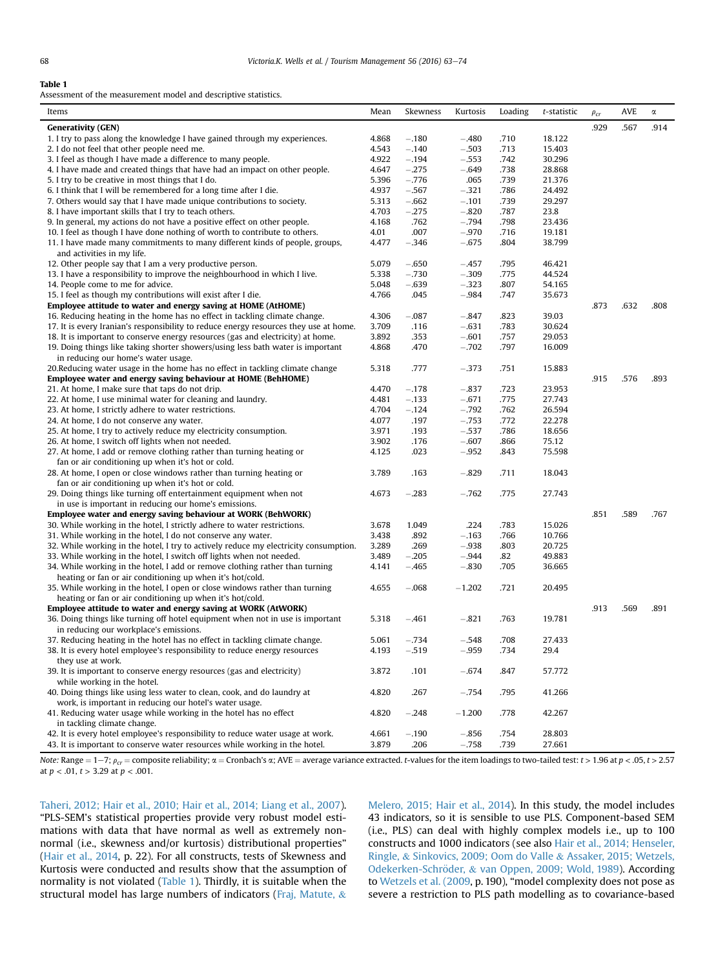#### <span id="page-6-0"></span>Table 1

Assessment of the measurement model and descriptive statistics.

| Items                                                                                                                | Mean  | Skewness | Kurtosis | Loading | t-statistic | $\rho_{cr}$ | AVE  | α    |
|----------------------------------------------------------------------------------------------------------------------|-------|----------|----------|---------|-------------|-------------|------|------|
| <b>Generativity (GEN)</b>                                                                                            |       |          |          |         |             | .929        | .567 | .914 |
| 1. I try to pass along the knowledge I have gained through my experiences.                                           | 4.868 | $-.180$  | $-.480$  | .710    | 18.122      |             |      |      |
| 2. I do not feel that other people need me.                                                                          | 4.543 | $-.140$  | $-.503$  | .713    | 15.403      |             |      |      |
| 3. I feel as though I have made a difference to many people.                                                         | 4.922 | $-.194$  | $-.553$  | .742    | 30.296      |             |      |      |
| 4. I have made and created things that have had an impact on other people.                                           | 4.647 | $-.275$  | $-.649$  | .738    | 28.868      |             |      |      |
| 5. I try to be creative in most things that I do.                                                                    | 5.396 | $-.776$  | .065     | .739    | 21.376      |             |      |      |
| 6. I think that I will be remembered for a long time after I die.                                                    | 4.937 | $-.567$  | $-.321$  | .786    | 24.492      |             |      |      |
| 7. Others would say that I have made unique contributions to society.                                                | 5.313 | $-.662$  | $-.101$  | .739    | 29.297      |             |      |      |
| 8. I have important skills that I try to teach others.                                                               | 4.703 | $-.275$  | $-.820$  | .787    | 23.8        |             |      |      |
| 9. In general, my actions do not have a positive effect on other people.                                             | 4.168 | .762     | $-.794$  | .798    | 23.436      |             |      |      |
| 10. I feel as though I have done nothing of worth to contribute to others.                                           | 4.01  | .007     | $-.970$  | .716    | 19.181      |             |      |      |
| 11. I have made many commitments to many different kinds of people, groups,                                          | 4.477 | $-.346$  | $-.675$  | .804    | 38.799      |             |      |      |
| and activities in my life.                                                                                           |       |          |          |         |             |             |      |      |
| 12. Other people say that I am a very productive person.                                                             | 5.079 | $-.650$  | $-.457$  | .795    | 46.421      |             |      |      |
| 13. I have a responsibility to improve the neighbourhood in which I live.                                            | 5.338 | $-.730$  | $-.309$  | .775    | 44.524      |             |      |      |
| 14. People come to me for advice.                                                                                    | 5.048 | $-.639$  | $-.323$  | .807    | 54.165      |             |      |      |
| 15. I feel as though my contributions will exist after I die.                                                        | 4.766 | .045     | $-.984$  | .747    | 35.673      |             |      |      |
| Employee attitude to water and energy saving at HOME (AtHOME)                                                        |       |          |          |         |             | .873        | .632 | .808 |
| 16. Reducing heating in the home has no effect in tackling climate change.                                           | 4.306 | $-.087$  | $-.847$  | .823    | 39.03       |             |      |      |
| 17. It is every Iranian's responsibility to reduce energy resources they use at home.                                | 3.709 | .116     | $-.631$  | .783    | 30.624      |             |      |      |
| 18. It is important to conserve energy resources (gas and electricity) at home.                                      | 3.892 | .353     | $-.601$  | .757    | 29.053      |             |      |      |
| 19. Doing things like taking shorter showers/using less bath water is important                                      | 4.868 | .470     | $-.702$  | .797    | 16.009      |             |      |      |
| in reducing our home's water usage.<br>20. Reducing water usage in the home has no effect in tackling climate change | 5.318 | .777     |          |         | 15.883      |             |      |      |
| Employee water and energy saving behaviour at HOME (BehHOME)                                                         |       |          | $-.373$  | .751    |             | .915        | .576 | .893 |
| 21. At home, I make sure that taps do not drip.                                                                      | 4.470 | $-.178$  | $-.837$  | .723    | 23.953      |             |      |      |
| 22. At home, I use minimal water for cleaning and laundry.                                                           | 4.481 | $-.133$  | $-.671$  | .775    | 27.743      |             |      |      |
| 23. At home, I strictly adhere to water restrictions.                                                                | 4.704 | $-.124$  | $-.792$  | .762    | 26.594      |             |      |      |
| 24. At home, I do not conserve any water.                                                                            | 4.077 | .197     | $-.753$  | .772    | 22.278      |             |      |      |
| 25. At home, I try to actively reduce my electricity consumption.                                                    | 3.971 | .193     | $-.537$  | .786    | 18.656      |             |      |      |
| 26. At home, I switch off lights when not needed.                                                                    | 3.902 | .176     | $-.607$  | .866    | 75.12       |             |      |      |
| 27. At home, I add or remove clothing rather than turning heating or                                                 | 4.125 | .023     | $-.952$  | .843    | 75.598      |             |      |      |
| fan or air conditioning up when it's hot or cold.                                                                    |       |          |          |         |             |             |      |      |
| 28. At home, I open or close windows rather than turning heating or                                                  | 3.789 | .163     | $-.829$  | .711    | 18.043      |             |      |      |
| fan or air conditioning up when it's hot or cold.                                                                    |       |          |          |         |             |             |      |      |
| 29. Doing things like turning off entertainment equipment when not                                                   | 4.673 | $-.283$  | $-.762$  | .775    | 27.743      |             |      |      |
| in use is important in reducing our home's emissions.                                                                |       |          |          |         |             |             |      |      |
| Employee water and energy saving behaviour at WORK (BehWORK)                                                         |       |          |          |         |             | .851        | .589 | .767 |
| 30. While working in the hotel, I strictly adhere to water restrictions.                                             | 3.678 | 1.049    | .224     | .783    | 15.026      |             |      |      |
| 31. While working in the hotel, I do not conserve any water.                                                         | 3.438 | .892     | $-.163$  | .766    | 10.766      |             |      |      |
| 32. While working in the hotel, I try to actively reduce my electricity consumption.                                 | 3.289 | .269     | $-.938$  | .803    | 20.725      |             |      |      |
| 33. While working in the hotel, I switch off lights when not needed.                                                 | 3.489 | $-.205$  | $-.944$  | .82     | 49.883      |             |      |      |
| 34. While working in the hotel, I add or remove clothing rather than turning                                         | 4.141 | $-.465$  | $-.830$  | .705    | 36.665      |             |      |      |
| heating or fan or air conditioning up when it's hot/cold.                                                            |       |          |          |         |             |             |      |      |
| 35. While working in the hotel, I open or close windows rather than turning                                          | 4.655 | $-.068$  | $-1.202$ | .721    | 20.495      |             |      |      |
| heating or fan or air conditioning up when it's hot/cold.                                                            |       |          |          |         |             |             |      |      |
| Employee attitude to water and energy saving at WORK (AtWORK)                                                        |       |          |          |         |             | .913        | .569 | .891 |
| 36. Doing things like turning off hotel equipment when not in use is important                                       | 5.318 | $-.461$  | $-.821$  | .763    | 19.781      |             |      |      |
| in reducing our workplace's emissions.                                                                               |       |          |          |         |             |             |      |      |
| 37. Reducing heating in the hotel has no effect in tackling climate change.                                          | 5.061 | $-.734$  | $-.548$  | .708    | 27.433      |             |      |      |
| 38. It is every hotel employee's responsibility to reduce energy resources                                           | 4.193 | $-.519$  | $-.959$  | .734    | 29.4        |             |      |      |
| they use at work.                                                                                                    |       |          |          |         |             |             |      |      |
| 39. It is important to conserve energy resources (gas and electricity)                                               | 3.872 | .101     | $-.674$  | .847    | 57.772      |             |      |      |
| while working in the hotel.                                                                                          |       |          |          |         |             |             |      |      |
| 40. Doing things like using less water to clean, cook, and do laundry at                                             | 4.820 | .267     | $-.754$  | .795    | 41.266      |             |      |      |
| work, is important in reducing our hotel's water usage.                                                              |       |          |          |         |             |             |      |      |
| 41. Reducing water usage while working in the hotel has no effect                                                    | 4.820 | $-.248$  | $-1.200$ | .778    | 42.267      |             |      |      |
| in tackling climate change.<br>42. It is every hotel employee's responsibility to reduce water usage at work.        | 4.661 | $-.190$  | $-.856$  | .754    | 28.803      |             |      |      |
| 43. It is important to conserve water resources while working in the hotel.                                          | 3.879 | .206     | $-.758$  | .739    | 27.661      |             |      |      |
|                                                                                                                      |       |          |          |         |             |             |      |      |

Note: Range = 1-7;  $\rho_{cr}$  = composite reliability;  $\alpha$  = Cronbach's  $\alpha$ ; AVE = average variance extracted. t-values for the item loadings to two-tailed test: t > 1.96 at p < .05, t > 2.57 at  $p < .01$ ,  $t > 3.29$  at  $p < .001$ .

[Taheri, 2012; Hair et al., 2010; Hair et al., 2014; Liang et al., 2007\)](#page-9-0). "PLS-SEM's statistical properties provide very robust model estimations with data that have normal as well as extremely nonnormal (i.e., skewness and/or kurtosis) distributional properties" ([Hair et al., 2014,](#page-10-0) p. 22). For all constructs, tests of Skewness and Kurtosis were conducted and results show that the assumption of normality is not violated (Table 1). Thirdly, it is suitable when the structural model has large numbers of indicators ([Fraj, Matute,](#page-10-0) &

[Melero, 2015; Hair et al., 2014](#page-10-0)). In this study, the model includes 43 indicators, so it is sensible to use PLS. Component-based SEM (i.e., PLS) can deal with highly complex models i.e., up to 100 constructs and 1000 indicators (see also [Hair et al., 2014; Henseler,](#page-10-0) [Ringle,](#page-10-0) & [Sinkovics, 2009; Oom do Valle](#page-10-0) & [Assaker, 2015; Wetzels,](#page-10-0) Odekerken-Schröder, & [van Oppen, 2009; Wold, 1989](#page-10-0)). According to [Wetzels et al. \(2009](#page-11-0), p. 190), "model complexity does not pose as severe a restriction to PLS path modelling as to covariance-based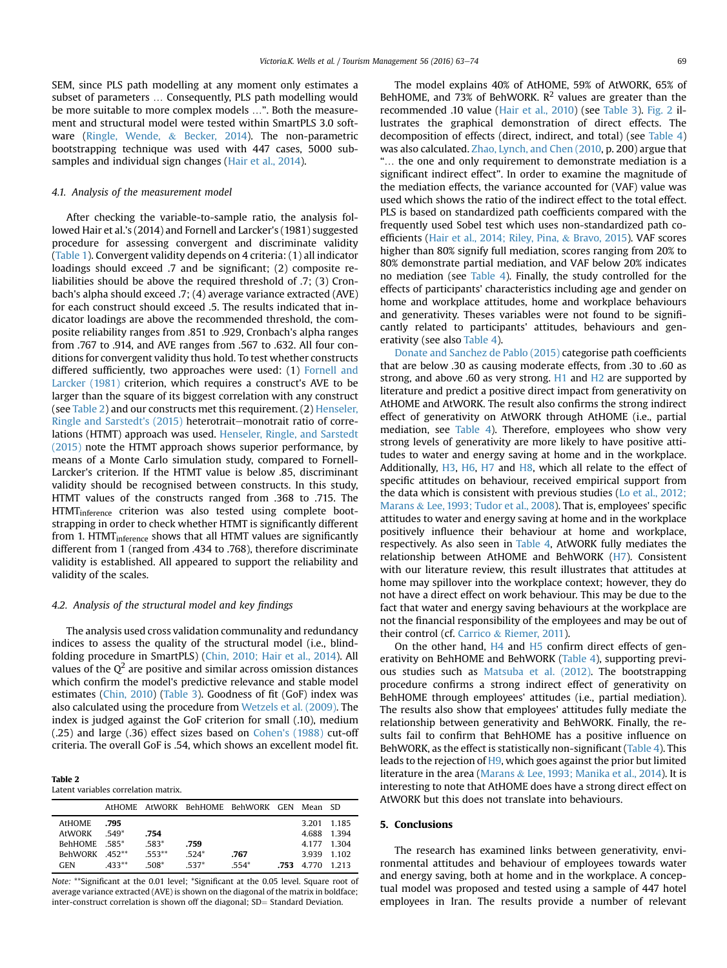SEM, since PLS path modelling at any moment only estimates a subset of parameters … Consequently, PLS path modelling would be more suitable to more complex models …". Both the measurement and structural model were tested within SmartPLS 3.0 software ([Ringle, Wende,](#page-11-0) & [Becker, 2014\)](#page-11-0). The non-parametric bootstrapping technique was used with 447 cases, 5000 subsamples and individual sign changes ([Hair et al., 2014](#page-10-0)).

#### 4.1. Analysis of the measurement model

After checking the variable-to-sample ratio, the analysis followed Hair et al.'s (2014) and Fornell and Larcker's (1981) suggested procedure for assessing convergent and discriminate validity ([Table 1\)](#page-6-0). Convergent validity depends on 4 criteria: (1) all indicator loadings should exceed .7 and be significant; (2) composite reliabilities should be above the required threshold of .7; (3) Cronbach's alpha should exceed .7; (4) average variance extracted (AVE) for each construct should exceed .5. The results indicated that indicator loadings are above the recommended threshold, the composite reliability ranges from .851 to .929, Cronbach's alpha ranges from .767 to .914, and AVE ranges from .567 to .632. All four conditions for convergent validity thus hold. To test whether constructs differed sufficiently, two approaches were used: (1) [Fornell and](#page-10-0) [Larcker \(1981\)](#page-10-0) criterion, which requires a construct's AVE to be larger than the square of its biggest correlation with any construct (see Table 2) and our constructs met this requirement. (2) [Henseler,](#page-10-0) [Ringle and Sarstedt's \(2015\)](#page-10-0) heterotrait-monotrait ratio of correlations (HTMT) approach was used. [Henseler, Ringle, and Sarstedt](#page-10-0) [\(2015\)](#page-10-0) note the HTMT approach shows superior performance, by means of a Monte Carlo simulation study, compared to Fornell-Larcker's criterion. If the HTMT value is below .85, discriminant validity should be recognised between constructs. In this study, HTMT values of the constructs ranged from .368 to .715. The HTMT<sub>inference</sub> criterion was also tested using complete bootstrapping in order to check whether HTMT is significantly different from 1. HTMT<sub>inference</sub> shows that all HTMT values are significantly different from 1 (ranged from .434 to .768), therefore discriminate validity is established. All appeared to support the reliability and validity of the scales.

#### 4.2. Analysis of the structural model and key findings

The analysis used cross validation communality and redundancy indices to assess the quality of the structural model (i.e., blindfolding procedure in SmartPLS) [\(Chin, 2010; Hair et al., 2014](#page-10-0)). All values of the  $Q^2$  are positive and similar across omission distances which confirm the model's predictive relevance and stable model estimates ([Chin, 2010](#page-10-0)) [\(Table 3\)](#page-8-0). Goodness of fit (GoF) index was also calculated using the procedure from [Wetzels et al. \(2009\).](#page-11-0) The index is judged against the GoF criterion for small (.10), medium (.25) and large (.36) effect sizes based on [Cohen's \(1988\)](#page-10-0) cut-off criteria. The overall GoF is .54, which shows an excellent model fit.

Table 2

|               |         |          |        | AtHOME AtWORK BehHOME BehWORK GEN Mean SD |      |                 |  |
|---------------|---------|----------|--------|-------------------------------------------|------|-----------------|--|
| AtHOME        | .795    |          |        |                                           |      | 3.201 1.185     |  |
| AtWORK        | $549*$  | .754     |        |                                           |      | 4.688 1.394     |  |
| BehHOME .585* |         | 583*     | .759   |                                           |      | 4.177 1.304     |  |
| BehWORK 452** |         | $.553**$ | $524*$ | .767                                      |      | 3 9 3 9 1 1 0 2 |  |
| GEN           | $433**$ | 508*     | 537*   | 554*                                      | .753 | 4 770 1 213     |  |
|               |         |          |        |                                           |      |                 |  |

Note: \*\*Significant at the 0.01 level; \*Significant at the 0.05 level. Square root of average variance extracted (AVE) is shown on the diagonal of the matrix in boldface; inter-construct correlation is shown off the diagonal; SD= Standard Deviation.

The model explains 40% of AtHOME, 59% of AtWORK, 65% of BehHOME, and 73% of BehWORK.  $R^2$  values are greater than the recommended .10 value ([Hair et al., 2010](#page-10-0)) (see [Table 3](#page-8-0)). [Fig. 2](#page-8-0) illustrates the graphical demonstration of direct effects. The decomposition of effects (direct, indirect, and total) (see [Table 4\)](#page-8-0) was also calculated. [Zhao, Lynch, and Chen \(2010,](#page-11-0) p. 200) argue that "… the one and only requirement to demonstrate mediation is a significant indirect effect". In order to examine the magnitude of the mediation effects, the variance accounted for (VAF) value was used which shows the ratio of the indirect effect to the total effect. PLS is based on standardized path coefficients compared with the frequently used Sobel test which uses non-standardized path coefficients [\(Hair et al., 2014; Riley, Pina,](#page-10-0) & [Bravo, 2015\)](#page-10-0). VAF scores higher than 80% signify full mediation, scores ranging from 20% to 80% demonstrate partial mediation, and VAF below 20% indicates no mediation (see [Table 4](#page-8-0)). Finally, the study controlled for the effects of participants' characteristics including age and gender on home and workplace attitudes, home and workplace behaviours and generativity. Theses variables were not found to be significantly related to participants' attitudes, behaviours and generativity (see also [Table 4](#page-8-0)).

[Donate and Sanchez de Pablo \(2015\)](#page-10-0) categorise path coefficients that are below .30 as causing moderate effects, from .30 to .60 as strong, and above .60 as very strong. H1 and H2 are supported by literature and predict a positive direct impact from generativity on AtHOME and AtWORK. The result also confirms the strong indirect effect of generativity on AtWORK through AtHOME (i.e., partial mediation, see [Table 4\)](#page-8-0). Therefore, employees who show very strong levels of generativity are more likely to have positive attitudes to water and energy saving at home and in the workplace. Additionally, H3, H6, H7 and H8, which all relate to the effect of specific attitudes on behaviour, received empirical support from the data which is consistent with previous studies ([Lo et al., 2012;](#page-10-0) [Marans](#page-10-0) & [Lee, 1993; Tudor et al., 2008\)](#page-10-0). That is, employees' specific attitudes to water and energy saving at home and in the workplace positively influence their behaviour at home and workplace, respectively. As also seen in [Table 4,](#page-8-0) AtWORK fully mediates the relationship between AtHOME and BehWORK (H7). Consistent with our literature review, this result illustrates that attitudes at home may spillover into the workplace context; however, they do not have a direct effect on work behaviour. This may be due to the fact that water and energy saving behaviours at the workplace are not the financial responsibility of the employees and may be out of their control (cf. [Carrico](#page-10-0) & [Riemer, 2011](#page-10-0)).

On the other hand, H4 and H5 confirm direct effects of gen-erativity on BehHOME and BehWORK ([Table 4](#page-8-0)), supporting previous studies such as [Matsuba et al. \(2012\)](#page-11-0). The bootstrapping procedure confirms a strong indirect effect of generativity on BehHOME through employees' attitudes (i.e., partial mediation). The results also show that employees' attitudes fully mediate the relationship between generativity and BehWORK. Finally, the results fail to confirm that BehHOME has a positive influence on BehWORK, as the effect is statistically non-significant [\(Table 4](#page-8-0)). This leads to the rejection of H9, which goes against the prior but limited literature in the area ([Marans](#page-11-0) & [Lee, 1993; Manika et al., 2014\)](#page-11-0). It is interesting to note that AtHOME does have a strong direct effect on AtWORK but this does not translate into behaviours.

#### 5. Conclusions

The research has examined links between generativity, environmental attitudes and behaviour of employees towards water and energy saving, both at home and in the workplace. A conceptual model was proposed and tested using a sample of 447 hotel employees in Iran. The results provide a number of relevant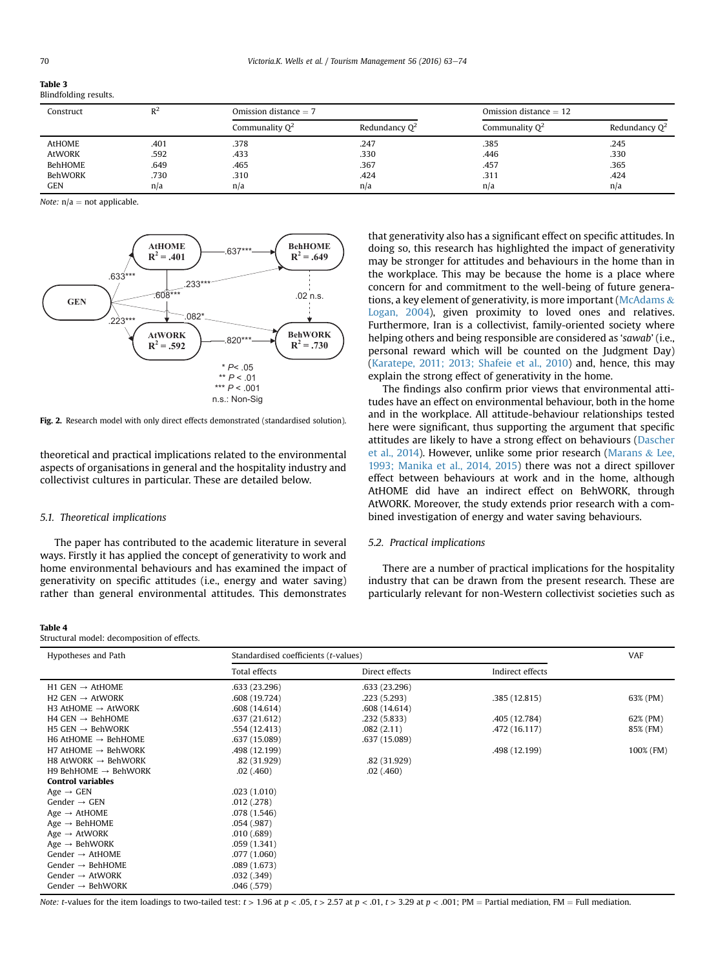<span id="page-8-0"></span>

| Table 3               |  |
|-----------------------|--|
| Blindfolding results. |  |

| Construct     | $R^2$ |                   | Omission distance $= 7$ |                   | Omission distance $= 12$ |  |  |  |
|---------------|-------|-------------------|-------------------------|-------------------|--------------------------|--|--|--|
|               |       | Communality $Q^2$ | Redundancy $Q^2$        | Communality $Q^2$ | Redundancy $Q^2$         |  |  |  |
| <b>AtHOME</b> | .401  | .378              | .247                    | .385              | .245                     |  |  |  |
| <b>AtWORK</b> | .592  | .433              | .330                    | .446              | .330                     |  |  |  |
| BehHOME       | .649  | .465              | .367                    | .457              | .365                     |  |  |  |
| BehWORK       | .730  | .310              | .424                    | .311              | .424                     |  |  |  |
| GEN           | n/a   | n/a               | n/a                     | n/a               | n/a                      |  |  |  |

Note:  $n/a = not$  applicable.



Fig. 2. Research model with only direct effects demonstrated (standardised solution).

theoretical and practical implications related to the environmental aspects of organisations in general and the hospitality industry and collectivist cultures in particular. These are detailed below.

#### 5.1. Theoretical implications

The paper has contributed to the academic literature in several ways. Firstly it has applied the concept of generativity to work and home environmental behaviours and has examined the impact of generativity on specific attitudes (i.e., energy and water saving) rather than general environmental attitudes. This demonstrates

#### Table 4

Structural model: decomposition of effects.

that generativity also has a significant effect on specific attitudes. In doing so, this research has highlighted the impact of generativity may be stronger for attitudes and behaviours in the home than in the workplace. This may be because the home is a place where concern for and commitment to the well-being of future genera-tions, a key element of generativity, is more important ([McAdams](#page-11-0)  $\&$ [Logan, 2004\)](#page-11-0), given proximity to loved ones and relatives. Furthermore, Iran is a collectivist, family-oriented society where helping others and being responsible are considered as 'sawab' (i.e., personal reward which will be counted on the Judgment Day) ([Karatepe, 2011; 2013; Shafeie et al., 2010\)](#page-10-0) and, hence, this may explain the strong effect of generativity in the home.

The findings also confirm prior views that environmental attitudes have an effect on environmental behaviour, both in the home and in the workplace. All attitude-behaviour relationships tested here were significant, thus supporting the argument that specific attitudes are likely to have a strong effect on behaviours ([Dascher](#page-10-0) [et al., 2014](#page-10-0)). However, unlike some prior research [\(Marans](#page-11-0) & [Lee,](#page-11-0) [1993; Manika et al., 2014, 2015](#page-11-0)) there was not a direct spillover effect between behaviours at work and in the home, although AtHOME did have an indirect effect on BehWORK, through AtWORK. Moreover, the study extends prior research with a combined investigation of energy and water saving behaviours.

#### 5.2. Practical implications

There are a number of practical implications for the hospitality industry that can be drawn from the present research. These are particularly relevant for non-Western collectivist societies such as

| Hypotheses and Path                     | Standardised coefficients (t-values) | <b>VAF</b>     |                  |           |  |
|-----------------------------------------|--------------------------------------|----------------|------------------|-----------|--|
|                                         | Total effects                        | Direct effects | Indirect effects |           |  |
| $H1$ GEN $\rightarrow$ AtHOME           | .633 (23.296)                        | .633 (23.296)  |                  |           |  |
| H <sub>2</sub> GEN $\rightarrow$ AtWORK | .608 (19.724)                        | .223(5.293)    | .385 (12.815)    | 63% (PM)  |  |
| H3 AtHOME $\rightarrow$ AtWORK          | .608(14.614)                         | .608(14.614)   |                  |           |  |
| $H4$ GEN $\rightarrow$ BehHOME          | .637(21.612)                         | .232(5.833)    | .405 (12.784)    | 62% (PM)  |  |
| H5 GEN $\rightarrow$ BehWORK            | .554 (12.413)                        | .082(2.11)     | .472 (16.117)    | 85% (FM)  |  |
| H6 AtHOME $\rightarrow$ BehHOME         | .637 (15.089)                        | .637(15.089)   |                  |           |  |
| H7 AtHOME $\rightarrow$ BehWORK         | .498 (12.199)                        |                | .498 (12.199)    | 100% (FM) |  |
| H8 AtWORK $\rightarrow$ BehWORK         | .82 (31.929)                         | .82 (31.929)   |                  |           |  |
| H9 BehHOME $\rightarrow$ BehWORK        | .02(.460)                            | .02(.460)      |                  |           |  |
| <b>Control variables</b>                |                                      |                |                  |           |  |
| Age $\rightarrow$ GEN                   | .023(1.010)                          |                |                  |           |  |
| Gender $\rightarrow$ GEN                | .012(.278)                           |                |                  |           |  |
| $Age \rightarrow AtHOME$                | .078(1.546)                          |                |                  |           |  |
| $Age \rightarrow BehHOME$               | .054(.987)                           |                |                  |           |  |
| Age $\rightarrow$ AtWORK                | .010(.689)                           |                |                  |           |  |
| Age $\rightarrow$ BehWORK               | .059(1.341)                          |                |                  |           |  |
| Gender $\rightarrow$ AtHOME             | .077(1.060)                          |                |                  |           |  |
| Gender $\rightarrow$ BehHOME            | .089(1.673)                          |                |                  |           |  |
| Gender $\rightarrow$ AtWORK             | .032(.349)                           |                |                  |           |  |
| Gender $\rightarrow$ BehWORK            | .046 (.579)                          |                |                  |           |  |

Note: t-values for the item loadings to two-tailed test:  $t > 1.96$  at  $p < .05$ ,  $t > 2.57$  at  $p < .01$ ,  $t > 3.29$  at  $p < .001$ ; PM = Partial mediation, FM = Full mediation.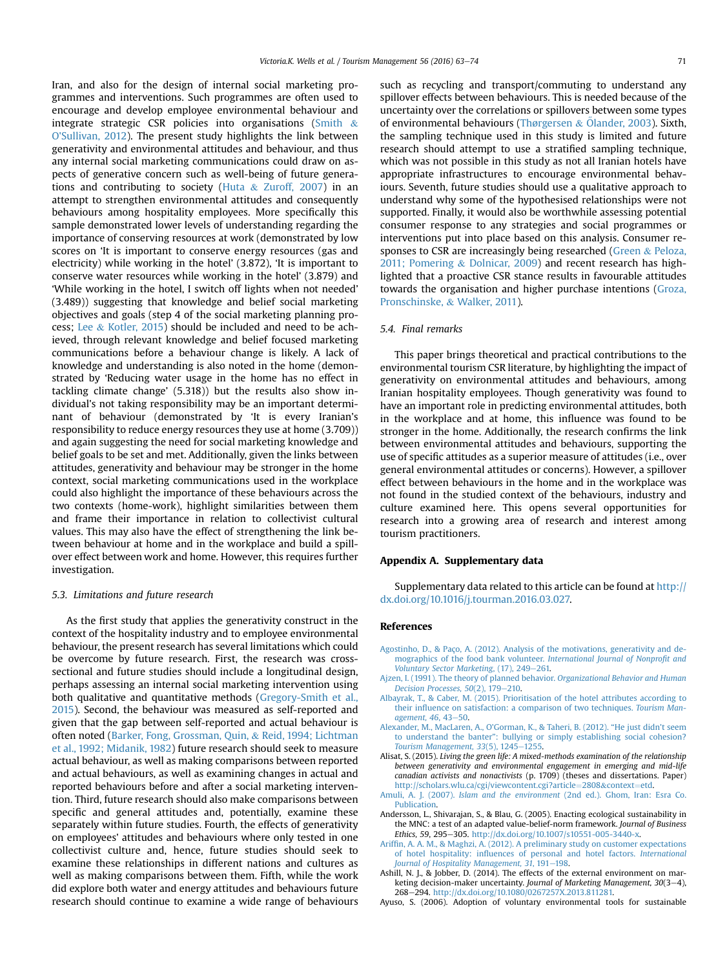<span id="page-9-0"></span>Iran, and also for the design of internal social marketing programmes and interventions. Such programmes are often used to encourage and develop employee environmental behaviour and integrate strategic CSR policies into organisations [\(Smith](#page-11-0) & [O'Sullivan, 2012\)](#page-11-0). The present study highlights the link between generativity and environmental attitudes and behaviour, and thus any internal social marketing communications could draw on aspects of generative concern such as well-being of future genera-tions and contributing to society [\(Huta](#page-10-0)  $&$  [Zuroff, 2007\)](#page-10-0) in an attempt to strengthen environmental attitudes and consequently behaviours among hospitality employees. More specifically this sample demonstrated lower levels of understanding regarding the importance of conserving resources at work (demonstrated by low scores on 'It is important to conserve energy resources (gas and electricity) while working in the hotel' (3.872), 'It is important to conserve water resources while working in the hotel' (3.879) and 'While working in the hotel, I switch off lights when not needed' (3.489)) suggesting that knowledge and belief social marketing objectives and goals (step 4 of the social marketing planning process; [Lee](#page-10-0) & [Kotler, 2015](#page-10-0)) should be included and need to be achieved, through relevant knowledge and belief focused marketing communications before a behaviour change is likely. A lack of knowledge and understanding is also noted in the home (demonstrated by 'Reducing water usage in the home has no effect in tackling climate change' (5.318)) but the results also show individual's not taking responsibility may be an important determinant of behaviour (demonstrated by 'It is every Iranian's responsibility to reduce energy resources they use at home (3.709)) and again suggesting the need for social marketing knowledge and belief goals to be set and met. Additionally, given the links between attitudes, generativity and behaviour may be stronger in the home context, social marketing communications used in the workplace could also highlight the importance of these behaviours across the two contexts (home-work), highlight similarities between them and frame their importance in relation to collectivist cultural values. This may also have the effect of strengthening the link between behaviour at home and in the workplace and build a spillover effect between work and home. However, this requires further investigation.

#### 5.3. Limitations and future research

As the first study that applies the generativity construct in the context of the hospitality industry and to employee environmental behaviour, the present research has several limitations which could be overcome by future research. First, the research was crosssectional and future studies should include a longitudinal design, perhaps assessing an internal social marketing intervention using both qualitative and quantitative methods ([Gregory-Smith et al.,](#page-10-0) [2015\)](#page-10-0). Second, the behaviour was measured as self-reported and given that the gap between self-reported and actual behaviour is often noted [\(Barker, Fong, Grossman, Quin,](#page-10-0) & [Reid, 1994; Lichtman](#page-10-0) [et al., 1992; Midanik, 1982\)](#page-10-0) future research should seek to measure actual behaviour, as well as making comparisons between reported and actual behaviours, as well as examining changes in actual and reported behaviours before and after a social marketing intervention. Third, future research should also make comparisons between specific and general attitudes and, potentially, examine these separately within future studies. Fourth, the effects of generativity on employees' attitudes and behaviours where only tested in one collectivist culture and, hence, future studies should seek to examine these relationships in different nations and cultures as well as making comparisons between them. Fifth, while the work did explore both water and energy attitudes and behaviours future research should continue to examine a wide range of behaviours such as recycling and transport/commuting to understand any spillover effects between behaviours. This is needed because of the uncertainty over the correlations or spillovers between some types of environmental behaviours ([Th](#page-11-0)ø[rgersen](#page-11-0) & Ölander, 2003). Sixth, the sampling technique used in this study is limited and future research should attempt to use a stratified sampling technique, which was not possible in this study as not all Iranian hotels have appropriate infrastructures to encourage environmental behaviours. Seventh, future studies should use a qualitative approach to understand why some of the hypothesised relationships were not supported. Finally, it would also be worthwhile assessing potential consumer response to any strategies and social programmes or interventions put into place based on this analysis. Consumer responses to CSR are increasingly being researched [\(Green](#page-10-0) & [Peloza,](#page-10-0) [2011; Pomering](#page-10-0) & [Dolnicar, 2009](#page-10-0)) and recent research has highlighted that a proactive CSR stance results in favourable attitudes towards the organisation and higher purchase intentions ([Groza,](#page-10-0) [Pronschinske,](#page-10-0) & [Walker, 2011\)](#page-10-0).

#### 5.4. Final remarks

This paper brings theoretical and practical contributions to the environmental tourism CSR literature, by highlighting the impact of generativity on environmental attitudes and behaviours, among Iranian hospitality employees. Though generativity was found to have an important role in predicting environmental attitudes, both in the workplace and at home, this influence was found to be stronger in the home. Additionally, the research confirms the link between environmental attitudes and behaviours, supporting the use of specific attitudes as a superior measure of attitudes (i.e., over general environmental attitudes or concerns). However, a spillover effect between behaviours in the home and in the workplace was not found in the studied context of the behaviours, industry and culture examined here. This opens several opportunities for research into a growing area of research and interest among tourism practitioners.

#### Appendix A. Supplementary data

Supplementary data related to this article can be found at [http://](http://dx.doi.org/10.1016/j.tourman.2016.03.027) [dx.doi.org/10.1016/j.tourman.2016.03.027.](http://dx.doi.org/10.1016/j.tourman.2016.03.027)

#### References

- [Agostinho, D., & Paço, A. \(2012\). Analysis of the motivations, generativity and de](http://refhub.elsevier.com/S0261-5177(16)30042-5/sref1)[mographics of the food bank volunteer.](http://refhub.elsevier.com/S0261-5177(16)30042-5/sref1) International Journal of Nonprofit and [Voluntary Sector Marketing](http://refhub.elsevier.com/S0261-5177(16)30042-5/sref1), (17), 249-[261.](http://refhub.elsevier.com/S0261-5177(16)30042-5/sref1)
- [Ajzen, I. \(1991\). The theory of planned behavior.](http://refhub.elsevier.com/S0261-5177(16)30042-5/sref2) Organizational Behavior and Human Decision Processes,  $50(2)$ ,  $179-210$  $179-210$ .
- [Albayrak, T., & Caber, M. \(2015\). Prioritisation of the hotel attributes according to](http://refhub.elsevier.com/S0261-5177(16)30042-5/sref3) their infl[uence on satisfaction: a comparison of two techniques.](http://refhub.elsevier.com/S0261-5177(16)30042-5/sref3) Tourism Management,  $46, 43-50$  $46, 43-50$ .
- [Alexander, M., MacLaren, A., O'Gorman, K., & Taheri, B. \(2012\).](http://refhub.elsevier.com/S0261-5177(16)30042-5/sref4) "He just didn't seem to understand the banter"[: bullying or simply establishing social cohesion?](http://refhub.elsevier.com/S0261-5177(16)30042-5/sref4) [Tourism Management, 33](http://refhub.elsevier.com/S0261-5177(16)30042-5/sref4)(5), 1245-[1255](http://refhub.elsevier.com/S0261-5177(16)30042-5/sref4).
- Alisat, S. (2015). Living the green life: A mixed-methods examination of the relationship between generativity and environmental engagement in emerging and mid-life canadian activists and nonactivists (p. 1709) (theses and dissertations. Paper) [http://scholars.wlu.ca/cgi/viewcontent.cgi?article](http://scholars.wlu.ca/cgi/viewcontent.cgi?article=2808&context=etd)=[2808](http://scholars.wlu.ca/cgi/viewcontent.cgi?article=2808&context=etd)&[context](http://scholars.wlu.ca/cgi/viewcontent.cgi?article=2808&context=etd)=[etd.](http://scholars.wlu.ca/cgi/viewcontent.cgi?article=2808&context=etd)
- Amuli, A. J. (2007). Islam and the environment [\(2nd ed.\). Ghom, Iran: Esra Co.](http://refhub.elsevier.com/S0261-5177(16)30042-5/sref6) **[Publication](http://refhub.elsevier.com/S0261-5177(16)30042-5/sref6)**
- Andersson, L., Shivarajan, S., & Blau, G. (2005). Enacting ecological sustainability in the MNC: a test of an adapted value-belief-norm framework. Journal of Business Ethics, 59, 295-305. [http://dx.doi.org/10.1007/s10551-005-3440-x.](http://dx.doi.org/10.1007/s10551-005-3440-x)
- Ariffi[n, A. A. M., & Maghzi, A. \(2012\). A preliminary study on customer expectations](http://refhub.elsevier.com/S0261-5177(16)30042-5/sref8) of hotel hospitality: infl[uences of personal and hotel factors.](http://refhub.elsevier.com/S0261-5177(16)30042-5/sref8) International ournal of Hospitality Management, 31, 191-[198.](http://refhub.elsevier.com/S0261-5177(16)30042-5/sref8)
- Ashill, N. J., & Jobber, D. (2014). The effects of the external environment on marketing decision-maker uncertainty. Journal of Marketing Management, 30(3-4), 268e294. [http://dx.doi.org/10.1080/0267257X.2013.811281.](http://dx.doi.org/10.1080/0267257X.2013.811281)
- Ayuso, S. (2006). Adoption of voluntary environmental tools for sustainable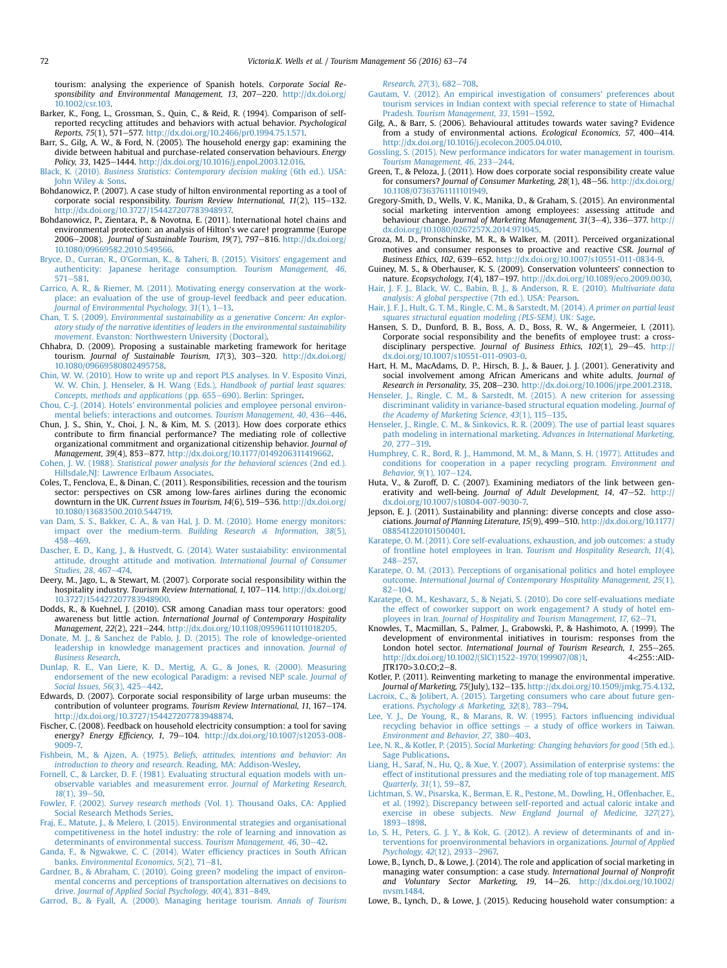<span id="page-10-0"></span>tourism: analysing the experience of Spanish hotels. Corporate Social Responsibility and Environmental Management, 13, 207-220. [http://dx.doi.org/](http://dx.doi.org/10.1002/csr.103) [10.1002/csr.103.](http://dx.doi.org/10.1002/csr.103)

- Barker, K., Fong, L., Grossman, S., Quin, C., & Reid, R. (1994). Comparison of selfreported recycling attitudes and behaviors with actual behavior. Psychological Reports, 75(1), 571–577. [http://dx.doi.org/10.2466/pr0.1994.75.1.571.](http://dx.doi.org/10.2466/pr0.1994.75.1.571)
- Barr, S., Gilg, A. W., & Ford, N. (2005). The household energy gap: examining the divide between habitual and purchase-related conservation behaviours. Energy Policy, 33, 1425-1444. [http://dx.doi.org/10.1016/j.enpol.2003.12.016.](http://dx.doi.org/10.1016/j.enpol.2003.12.016)
- Black, K. (2010). [Business Statistics: Contemporary decision making](http://refhub.elsevier.com/S0261-5177(16)30042-5/sref13) (6th ed.). USA: [John Wiley](http://refhub.elsevier.com/S0261-5177(16)30042-5/sref13) & [Sons](http://refhub.elsevier.com/S0261-5177(16)30042-5/sref13).
- Bohdanowicz, P. (2007). A case study of hilton environmental reporting as a tool of corporate social responsibility. Tourism Review International,  $11(2)$ ,  $115-132$ . [http://dx.doi.org/10.3727/154427207783948937.](http://dx.doi.org/10.3727/154427207783948937)
- Bohdanowicz, P., Zientara, P., & Novotna, E. (2011). International hotel chains and environmental protection: an analysis of Hilton's we care! programme (Europe 2006-2008). Journal of Sustainable Tourism, 19(7), 797-816. [http://dx.doi.org/](http://dx.doi.org/10.1080/09669582.2010.549566) [10.1080/09669582.2010.549566.](http://dx.doi.org/10.1080/09669582.2010.549566)
- [Bryce, D., Curran, R., O'Gorman, K., & Taheri, B. \(2015\). Visitors' engagement and](http://refhub.elsevier.com/S0261-5177(16)30042-5/sref16) [authenticity: Japanese heritage consumption.](http://refhub.elsevier.com/S0261-5177(16)30042-5/sref16) Tourism Management, 46,  $571 - 581$  $571 - 581$
- [Carrico, A. R., & Riemer, M. \(2011\). Motivating energy conservation at the work-](http://refhub.elsevier.com/S0261-5177(16)30042-5/sref17)[place: an evaluation of the use of group-level feedback and peer education.](http://refhub.elsevier.com/S0261-5177(16)30042-5/sref17) [Journal of Environmental Psychology, 31](http://refhub.elsevier.com/S0261-5177(16)30042-5/sref17)(1), 1-[13.](http://refhub.elsevier.com/S0261-5177(16)30042-5/sref17)
- Chan, T. S. (2009). [Environmental sustainability as a generative Concern: An explor](http://refhub.elsevier.com/S0261-5177(16)30042-5/sref18)[atory study of the narrative identities of leaders in the environmental sustainability](http://refhub.elsevier.com/S0261-5177(16)30042-5/sref18) movement[. Evanston: Northwestern University \(Doctoral\).](http://refhub.elsevier.com/S0261-5177(16)30042-5/sref18)
- Chhabra, D. (2009). Proposing a sustainable marketing framework for heritage tourism. Journal of Sustainable Tourism, 17(3), 303-320. [http://dx.doi.org/](http://dx.doi.org/10.1080/09669580802495758) [10.1080/09669580802495758](http://dx.doi.org/10.1080/09669580802495758).
- [Chin, W. W. \(2010\). How to write up and report PLS analyses. In V. Esposito Vinzi,](http://refhub.elsevier.com/S0261-5177(16)30042-5/sref20) [W. W. Chin, J. Henseler, & H. Wang \(Eds.\),](http://refhub.elsevier.com/S0261-5177(16)30042-5/sref20) Handbook of partial least squares: [Concepts, methods and applications](http://refhub.elsevier.com/S0261-5177(16)30042-5/sref20) (pp. 655-[690\). Berlin: Springer.](http://refhub.elsevier.com/S0261-5177(16)30042-5/sref20)
- [Chou, C.-J. \(2014\). Hotels' environmental policies and employee personal environ](http://refhub.elsevier.com/S0261-5177(16)30042-5/sref21)[mental beliefs: interactions and outcomes.](http://refhub.elsevier.com/S0261-5177(16)30042-5/sref21) Tourism Management, 40, 436-[446](http://refhub.elsevier.com/S0261-5177(16)30042-5/sref21).
- Chun, J. S., Shin, Y., Choi, J. N., & Kim, M. S. (2013). How does corporate ethics contribute to firm financial performance? The mediating role of collective organizational commitment and organizational citizenship behavior. Journal of Management, 39(4), 853-877. [http://dx.doi.org/10.1177/0149206311419662.](http://dx.doi.org/10.1177/0149206311419662)
- Cohen, J. W. (1988). [Statistical power analysis for the behavioral sciences](http://refhub.elsevier.com/S0261-5177(16)30042-5/sref23) (2nd ed.). [Hillsdale,NJ: Lawrence Erlbaum Associates.](http://refhub.elsevier.com/S0261-5177(16)30042-5/sref23)
- Coles, T., Fenclova, E., & Dinan, C. (2011). Responsibilities, recession and the tourism sector: perspectives on CSR among low-fares airlines during the economic downturn in the UK. Current Issues in Tourism, 14(6), 519-536. [http://dx.doi.org/](http://dx.doi.org/10.1080/13683500.2010.544719) [10.1080/13683500.2010.544719.](http://dx.doi.org/10.1080/13683500.2010.544719)
- [van Dam, S. S., Bakker, C. A., & van Hal, J. D. M. \(2010\). Home energy monitors:](http://refhub.elsevier.com/S0261-5177(16)30042-5/sref25) [impact over the medium-term.](http://refhub.elsevier.com/S0261-5177(16)30042-5/sref25) Building Research & [Information, 38](http://refhub.elsevier.com/S0261-5177(16)30042-5/sref25)(5),  $458 - 469$  $458 - 469$
- [Dascher, E. D., Kang, J., & Hustvedt, G. \(2014\). Water sustaiability: environmental](http://refhub.elsevier.com/S0261-5177(16)30042-5/sref26) [attitude, drought attitude and motivation.](http://refhub.elsevier.com/S0261-5177(16)30042-5/sref26) International Journal of Consumer [Studies, 28](http://refhub.elsevier.com/S0261-5177(16)30042-5/sref26), 467-[474.](http://refhub.elsevier.com/S0261-5177(16)30042-5/sref26)
- Deery, M., Jago, L., & Stewart, M. (2007). Corporate social responsibility within the hospitality industry. Tourism Review International, 1, 107-114. [http://dx.doi.org/](http://dx.doi.org/10.3727/154427207783948900) [10.3727/154427207783948900](http://dx.doi.org/10.3727/154427207783948900).
- Dodds, R., & Kuehnel, J. (2010). CSR among Canadian mass tour operators: good awareness but little action. International Journal of Contemporary Hospitality Management, 22(2), 221-244. [http://dx.doi.org/10.1108/09596111011018205.](http://dx.doi.org/10.1108/09596111011018205)
- [Donate, M. J., & Sanchez de Pablo, J. D. \(2015\). The role of knowledge-oriented](http://refhub.elsevier.com/S0261-5177(16)30042-5/sref28) [leadership in knowledge management practices and innovation.](http://refhub.elsevier.com/S0261-5177(16)30042-5/sref28) Journal of [Business Research](http://refhub.elsevier.com/S0261-5177(16)30042-5/sref28).
- [Dunlap, R. E., Van Liere, K. D., Mertig, A. G., & Jones, R. \(2000\). Measuring](http://refhub.elsevier.com/S0261-5177(16)30042-5/sref29) [endorsement of the new ecological Paradigm: a revised NEP scale.](http://refhub.elsevier.com/S0261-5177(16)30042-5/sref29) Journal of [Social Issues, 56](http://refhub.elsevier.com/S0261-5177(16)30042-5/sref29)(3), 425-[442](http://refhub.elsevier.com/S0261-5177(16)30042-5/sref29).
- Edwards, D. (2007). Corporate social responsibility of large urban museums: the contribution of volunteer programs. Tourism Review International, 11, 167-174. [http://dx.doi.org/10.3727/154427207783948874.](http://dx.doi.org/10.3727/154427207783948874)
- Fischer, C. (2008). Feedback on household electricity consumption: a tool for saving energy? Energy Efficiency, 1, 79-104. [http://dx.doi.org/10.1007/s12053-008-](http://dx.doi.org/10.1007/s12053-008-9009-7) [9009-7.](http://dx.doi.org/10.1007/s12053-008-9009-7)
- Fishbein, M., & Ajzen, A. (1975). [Beliefs, attitudes, intentions and behavior: An](http://refhub.elsevier.com/S0261-5177(16)30042-5/sref31) [introduction to theory and research](http://refhub.elsevier.com/S0261-5177(16)30042-5/sref31). Reading, MA: Addison-Wesley.
- [Fornell, C., & Larcker, D. F. \(1981\). Evaluating structural equation models with un](http://refhub.elsevier.com/S0261-5177(16)30042-5/sref32)[observable variables and measurement error.](http://refhub.elsevier.com/S0261-5177(16)30042-5/sref32) Journal of Marketing Research, 18[\(1\), 39](http://refhub.elsevier.com/S0261-5177(16)30042-5/sref32)-[50](http://refhub.elsevier.com/S0261-5177(16)30042-5/sref32).
- Fowler, F. (2002). Survey research methods [\(Vol. 1\). Thousand Oaks, CA: Applied](http://refhub.elsevier.com/S0261-5177(16)30042-5/sref33) [Social Research Methods Series](http://refhub.elsevier.com/S0261-5177(16)30042-5/sref33).
- [Fraj, E., Matute, J., & Melero, I. \(2015\). Environmental strategies and organisational](http://refhub.elsevier.com/S0261-5177(16)30042-5/sref34) [competitiveness in the hotel industry: the role of learning and innovation as](http://refhub.elsevier.com/S0261-5177(16)30042-5/sref34) [determinants of environmental success.](http://refhub.elsevier.com/S0261-5177(16)30042-5/sref34) Tourism Management, 46, 30-[42.](http://refhub.elsevier.com/S0261-5177(16)30042-5/sref34)
- [Ganda, F., & Ngwakwe, C. C. \(2014\). Water ef](http://refhub.elsevier.com/S0261-5177(16)30042-5/sref35)ficiency practices in South African banks. Environmental Economics,  $5(2)$ ,  $71-81$ .
- [Gardner, B., & Abraham, C. \(2010\). Going green? modeling the impact of environ](http://refhub.elsevier.com/S0261-5177(16)30042-5/sref36)[mental concerns and perceptions of transportation alternatives on decisions to](http://refhub.elsevier.com/S0261-5177(16)30042-5/sref36) drive. Journal of Applied Social Psychology,  $40(4)$ , 831-[849.](http://refhub.elsevier.com/S0261-5177(16)30042-5/sref36)

[Garrod, B., & Fyall, A. \(2000\). Managing heritage tourism.](http://refhub.elsevier.com/S0261-5177(16)30042-5/sref37) Annals of Tourism

[Research, 27](http://refhub.elsevier.com/S0261-5177(16)30042-5/sref37)(3), 682-[708](http://refhub.elsevier.com/S0261-5177(16)30042-5/sref37).

- [Gautam, V. \(2012\). An empirical investigation of consumers' preferences about](http://refhub.elsevier.com/S0261-5177(16)30042-5/sref38) [tourism services in Indian context with special reference to state of Himachal](http://refhub.elsevier.com/S0261-5177(16)30042-5/sref38) Pradesh. [Tourism Management, 33](http://refhub.elsevier.com/S0261-5177(16)30042-5/sref38), 1591-[1592.](http://refhub.elsevier.com/S0261-5177(16)30042-5/sref38)
- Gilg, A., & Barr, S. (2006). Behavioural attitudes towards water saving? Evidence from a study of environmental actions. Ecological Economics,  $57$ , 400-414. [http://dx.doi.org/10.1016/j.ecolecon.2005.04.010.](http://dx.doi.org/10.1016/j.ecolecon.2005.04.010)
- [Gossling, S. \(2015\). New performance indicators for water management in tourism.](http://refhub.elsevier.com/S0261-5177(16)30042-5/sref40) [Tourism Management, 46](http://refhub.elsevier.com/S0261-5177(16)30042-5/sref40), 233-[244.](http://refhub.elsevier.com/S0261-5177(16)30042-5/sref40)
- Green, T., & Peloza, J. (2011). How does corporate social responsibility create value for consumers? Journal of Consumer Marketing,  $28(1)$ ,  $48-56$ . [http://dx.doi.org/](http://dx.doi.org/10.1108/07363761111101949) [10.1108/07363761111101949](http://dx.doi.org/10.1108/07363761111101949).
- Gregory-Smith, D., Wells, V. K., Manika, D., & Graham, S. (2015). An environmental social marketing intervention among employees: assessing attitude and<br>behaviour change. Journal of Marketing Management, 31(3–4), 336–377. [http://](http://dx.doi.org/10.1080/0267257X.2014.971045) [dx.doi.org/10.1080/0267257X.2014.971045.](http://dx.doi.org/10.1080/0267257X.2014.971045)
- Groza, M. D., Pronschinske, M. R., & Walker, M. (2011). Perceived organizational motives and consumer responses to proactive and reactive CSR. Journal of Business Ethics, 102, 639-652. [http://dx.doi.org/10.1007/s10551-011-0834-9.](http://dx.doi.org/10.1007/s10551-011-0834-9)
- Guiney, M. S., & Oberhauser, K. S. (2009). Conservation volunteers' connection to nature. Ecopsychology, 1(4), 187-197. [http://dx.doi.org/10.1089/eco.2009.0030.](http://dx.doi.org/10.1089/eco.2009.0030)
- [Hair, J. F. J., Black, W. C., Babin, B. J., & Anderson, R. E. \(2010\).](http://refhub.elsevier.com/S0261-5177(16)30042-5/sref45) Multivariate data [analysis: A global perspective](http://refhub.elsevier.com/S0261-5177(16)30042-5/sref45) (7th ed.). USA: Pearson.
- [Hair, J. F. J., Hult, G. T. M., Ringle, C. M., & Sarstedt, M. \(2014\).](http://refhub.elsevier.com/S0261-5177(16)30042-5/sref46) A primer on partial least
- [squares structural equation modeling \(PLS-SEM\)](http://refhub.elsevier.com/S0261-5177(16)30042-5/sref46). UK: Sage. Hansen, S. D., Dunford, B. B., Boss, A. D., Boss, R. W., & Angermeier, I. (2011). Corporate social responsibility and the benefits of employee trust: a crossdisciplinary perspective. Journal of Business Ethics,  $102(1)$ ,  $29-45$ . [http://](http://dx.doi.org/10.1007/s10551-011-0903-0) [dx.doi.org/10.1007/s10551-011-0903-0](http://dx.doi.org/10.1007/s10551-011-0903-0).
- Hart, H. M., MacAdams, D. P., Hirsch, B. J., & Bauer, J. J. (2001). Generativity and social involvement among African Americans and white adults. Journal of Research in Personality, 35, 208-230. <http://dx.doi.org/10.1006/jrpe.2001.2318>.
- [Henseler, J., Ringle, C. M., & Sarstedt, M. \(2015\). A new criterion for assessing](http://refhub.elsevier.com/S0261-5177(16)30042-5/sref49) [discriminant validity in variance-based structural equation modeling.](http://refhub.elsevier.com/S0261-5177(16)30042-5/sref49) Journal of [the Academy of Marketing Science, 43](http://refhub.elsevier.com/S0261-5177(16)30042-5/sref49)(1), 115-[135](http://refhub.elsevier.com/S0261-5177(16)30042-5/sref49).
- [Henseler, J., Ringle, C. M., & Sinkovics, R. R. \(2009\). The use of partial least squares](http://refhub.elsevier.com/S0261-5177(16)30042-5/sref50) [path modeling in international marketing.](http://refhub.elsevier.com/S0261-5177(16)30042-5/sref50) Advances in International Marketing,  $20.277 - 319.$  $20.277 - 319.$
- [Humphrey, C. R., Bord, R. J., Hammond, M. M., & Mann, S. H. \(1977\). Attitudes and](http://refhub.elsevier.com/S0261-5177(16)30042-5/sref51) [conditions for cooperation in a paper recycling program.](http://refhub.elsevier.com/S0261-5177(16)30042-5/sref51) Environment and [Behavior, 9](http://refhub.elsevier.com/S0261-5177(16)30042-5/sref51)(1), 107-[124.](http://refhub.elsevier.com/S0261-5177(16)30042-5/sref51)
- Huta, V., & Zuroff, D. C. (2007). Examining mediators of the link between generativity and well-being. Journal of Adult Development, 14, 47-52. [http://](http://dx.doi.org/10.1007/s10804-007-9030-7) [dx.doi.org/10.1007/s10804-007-9030-7.](http://dx.doi.org/10.1007/s10804-007-9030-7)
- Jepson, E. J. (2011). Sustainability and planning: diverse concepts and close associations. Journal of Planning Literature, 15(9), 499-510. [http://dx.doi.org/10.1177/](http://dx.doi.org/10.1177/088541220101500401) [088541220101500401.](http://dx.doi.org/10.1177/088541220101500401)
- [Karatepe, O. M. \(2011\). Core self-evaluations, exhaustion, and job outcomes: a study](http://refhub.elsevier.com/S0261-5177(16)30042-5/sref55) [of frontline hotel employees in Iran.](http://refhub.elsevier.com/S0261-5177(16)30042-5/sref55) Tourism and Hospitality Research, 11(4),  $248 - 257$  $248 - 257$
- [Karatepe, O. M. \(2013\). Perceptions of organisational politics and hotel employee](http://refhub.elsevier.com/S0261-5177(16)30042-5/sref56) outcome. [International Journal of Contemporary Hospitality Management, 25](http://refhub.elsevier.com/S0261-5177(16)30042-5/sref56)(1),  $82 - 104$  $82 - 104$  $82 - 104$
- [Karatepe, O. M., Keshavarz, S., & Nejati, S. \(2010\). Do core self-evaluations mediate](http://refhub.elsevier.com/S0261-5177(16)30042-5/sref57) [the effect of coworker support on work engagement? A study of hotel em-](http://refhub.elsevier.com/S0261-5177(16)30042-5/sref57)ployees in Iran. [Journal of Hospitality and Tourism Management, 17](http://refhub.elsevier.com/S0261-5177(16)30042-5/sref57), 62-[71.](http://refhub.elsevier.com/S0261-5177(16)30042-5/sref57)
- Knowles, T., Macmillan, S., Palmer, J., Grabowski, P., & Hashimoto, A. (1999). The development of environmental initiatives in tourism: responses from the London hotel sector. International Journal of Tourism Research, 1, 255-265.<br>http://dx.doi.org/10.1002/(SICI)1522-1970(199907/08)1. 4<255::AID[http://dx.doi.org/10.1002/\(SICI\)1522-1970\(199907/08\)1,](http://dx.doi.org/10.1002/(SICI)1522-1970(199907/08)1) JTR170>3.0.CO;2-8.
- Kotler, P. (2011). Reinventing marketing to manage the environmental imperative.

Journal of Marketing, 75(July), 132–135. <http://dx.doi.org/10.1509/jmkg.75.4.132>.<br>[Lacroix, C., & Jolibert, A. \(2015\). Targeting consumers who care about future gen-](http://refhub.elsevier.com/S0261-5177(16)30042-5/sref60)erations. [Psychology](http://refhub.elsevier.com/S0261-5177(16)30042-5/sref60) & Marketing,  $32(8)$ , 783-[794](http://refhub.elsevier.com/S0261-5177(16)30042-5/sref60).

- [Lee, Y. J., De Young, R., & Marans, R. W. \(1995\). Factors in](http://refhub.elsevier.com/S0261-5177(16)30042-5/sref61)fluencing individual [recycling behavior in of](http://refhub.elsevier.com/S0261-5177(16)30042-5/sref61)fice settings  $-$  a study of offi[ce workers in Taiwan.](http://refhub.elsevier.com/S0261-5177(16)30042-5/sref61) [Environment and Behavior, 27](http://refhub.elsevier.com/S0261-5177(16)30042-5/sref61), 380-[403](http://refhub.elsevier.com/S0261-5177(16)30042-5/sref61).
- Lee, N. R., & Kotler, P. (2015). [Social Marketing: Changing behaviors for good](http://refhub.elsevier.com/S0261-5177(16)30042-5/sref63) (5th ed.). [Sage Publications.](http://refhub.elsevier.com/S0261-5177(16)30042-5/sref63)
- [Liang, H., Saraf, N., Hu, Q., & Xue, Y. \(2007\). Assimilation of enterprise systems: the](http://refhub.elsevier.com/S0261-5177(16)30042-5/sref64) [effect of institutional pressures and the mediating role of top management.](http://refhub.elsevier.com/S0261-5177(16)30042-5/sref64) MIS Quarterly,  $31(1)$ ,  $59-87$ .
- [Lichtman, S. W., Pisarska, K., Berman, E. R., Pestone, M., Dowling, H., Offenbacher, E.,](http://refhub.elsevier.com/S0261-5177(16)30042-5/sref65) [et al. \(1992\). Discrepancy between self-reported and actual caloric intake and](http://refhub.elsevier.com/S0261-5177(16)30042-5/sref65) exercise in obese subjects. [New England Journal of Medicine, 327](http://refhub.elsevier.com/S0261-5177(16)30042-5/sref65)(27), [1893](http://refhub.elsevier.com/S0261-5177(16)30042-5/sref65)-[1898.](http://refhub.elsevier.com/S0261-5177(16)30042-5/sref65)
- [Lo, S. H., Peters, G. J. Y., & Kok, G. \(2012\). A review of determinants of and in](http://refhub.elsevier.com/S0261-5177(16)30042-5/sref66)[terventions for proenvironmental behaviors in organizations.](http://refhub.elsevier.com/S0261-5177(16)30042-5/sref66) Journal of Applied  $Psuchology, 42(12), 2933-2967.$  $Psuchology, 42(12), 2933-2967.$
- Lowe, B., Lynch, D., & Lowe, J. (2014). The role and application of social marketing in managing water consumption: a case study. International Journal of Nonprofit<br>and Voluntary Sector Marketing, 19, 14–26. [http://dx.doi.org/10.1002/](http://dx.doi.org/10.1002/nvsm.1484) [nvsm.1484](http://dx.doi.org/10.1002/nvsm.1484).
- Lowe, B., Lynch, D., & Lowe, J. (2015). Reducing household water consumption: a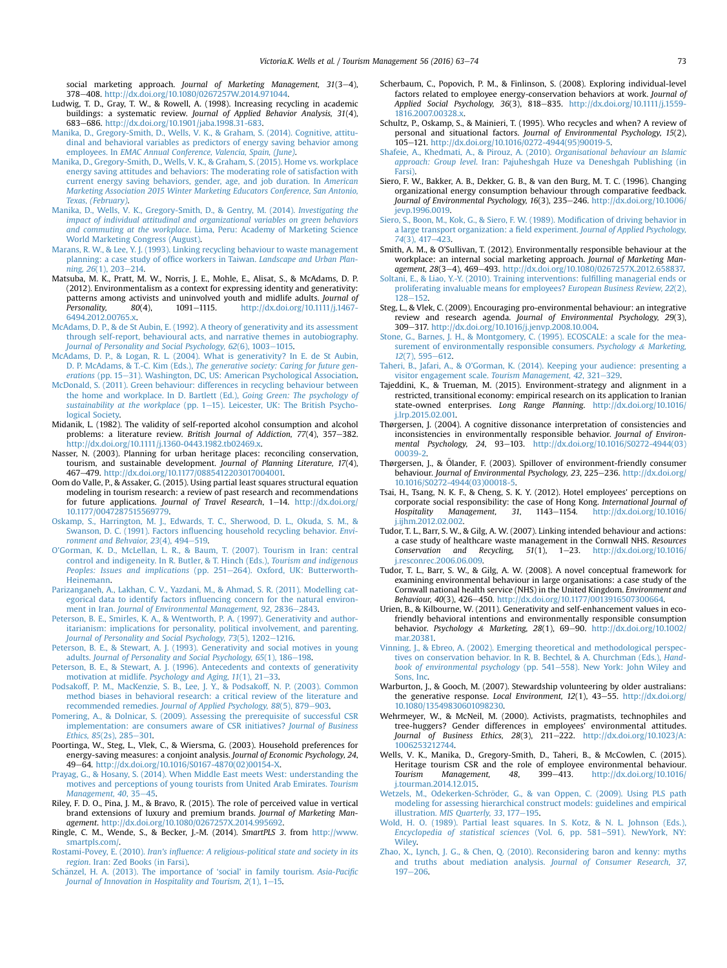<span id="page-11-0"></span>social marketing approach. Journal of Marketing Management,  $31(3-4)$ , 378-408. [http://dx.doi.org/10.1080/0267257W.2014.971044.](http://dx.doi.org/10.1080/0267257W.2014.971044)

- Ludwig, T. D., Gray, T. W., & Rowell, A. (1998). Increasing recycling in academic buildings: a systematic review. Journal of Applied Behavior Analysis, 31(4), 683e686. [http://dx.doi.org/10.1901/jaba.1998.31-683.](http://dx.doi.org/10.1901/jaba.1998.31-683)
- [Manika, D., Gregory-Smith, D., Wells, V. K., & Graham, S. \(2014\). Cognitive, attitu](http://refhub.elsevier.com/S0261-5177(16)30042-5/sref70)[dinal and behavioral variables as predictors of energy saving behavior among](http://refhub.elsevier.com/S0261-5177(16)30042-5/sref70) employees. In [EMAC Annual Conference, Valencia, Spain, \(June\)](http://refhub.elsevier.com/S0261-5177(16)30042-5/sref70).
- [Manika, D., Gregory-Smith, D., Wells, V. K., & Graham, S. \(2015\). Home vs. workplace](http://refhub.elsevier.com/S0261-5177(16)30042-5/sref71) [energy saving attitudes and behaviors: The moderating role of satisfaction with](http://refhub.elsevier.com/S0261-5177(16)30042-5/sref71) [current energy saving behaviors, gender, age, and job duration. In](http://refhub.elsevier.com/S0261-5177(16)30042-5/sref71) American [Marketing Association 2015 Winter Marketing Educators Conference, San Antonio,](http://refhub.elsevier.com/S0261-5177(16)30042-5/sref71) [Texas, \(February\)](http://refhub.elsevier.com/S0261-5177(16)30042-5/sref71).
- [Manika, D., Wells, V. K., Gregory-Smith, D., & Gentry, M. \(2014\).](http://refhub.elsevier.com/S0261-5177(16)30042-5/sref72) Investigating the [impact of individual attitudinal and organizational variables on green behaviors](http://refhub.elsevier.com/S0261-5177(16)30042-5/sref72) and commuting at the workplace[. Lima, Peru: Academy of Marketing Science](http://refhub.elsevier.com/S0261-5177(16)30042-5/sref72) [World Marketing Congress \(August\)](http://refhub.elsevier.com/S0261-5177(16)30042-5/sref72).
- [Marans, R. W., & Lee, Y. J. \(1993\). Linking recycling behaviour to waste management](http://refhub.elsevier.com/S0261-5177(16)30042-5/sref73) [planning: a case study of of](http://refhub.elsevier.com/S0261-5177(16)30042-5/sref73)fice workers in Taiwan. *Landscape and Urban Plan-*<br>[ning, 26](http://refhub.elsevier.com/S0261-5177(16)30042-5/sref73)(1), 203–[214.](http://refhub.elsevier.com/S0261-5177(16)30042-5/sref73)
- Matsuba, M. K., Pratt, M. W., Norris, J. E., Mohle, E., Alisat, S., & McAdams, D. P. (2012). Environmentalism as a context for expressing identity and generativity: patterns among activists and uninvolved youth and midlife adults. Journal of Personality, 80(4), 1091-1115. [http://dx.doi.org/10.1111/j.1467-](http://dx.doi.org/10.1111/j.1467-6494.2012.00765.x) [6494.2012.00765.x.](http://dx.doi.org/10.1111/j.1467-6494.2012.00765.x)
- [McAdams, D. P., & de St Aubin, E. \(1992\). A theory of generativity and its assessment](http://refhub.elsevier.com/S0261-5177(16)30042-5/sref75) [through self-report, behavioural acts, and narrative themes in autobiography.](http://refhub.elsevier.com/S0261-5177(16)30042-5/sref75) [Journal of Personality and Social Psychology, 62](http://refhub.elsevier.com/S0261-5177(16)30042-5/sref75)(6), 1003-[1015](http://refhub.elsevier.com/S0261-5177(16)30042-5/sref75).
- [McAdams, D. P., & Logan, R. L. \(2004\). What is generativity? In E. de St Aubin,](http://refhub.elsevier.com/S0261-5177(16)30042-5/sref76) D. P. McAdams, & T.-C. Kim (Eds.), *The generative society: Caring for future gen-*<br>*[erations](http://refhub.elsevier.com/S0261-5177(16)30042-5/sref76)* (pp. 15—[31\). Washington, DC, US: American Psychological Association](http://refhub.elsevier.com/S0261-5177(16)30042-5/sref76).
- [McDonald, S. \(2011\). Green behaviour: differences in recycling behaviour between](http://refhub.elsevier.com/S0261-5177(16)30042-5/sref77) [the home and workplace. In D. Bartlett \(Ed.\),](http://refhub.elsevier.com/S0261-5177(16)30042-5/sref77) Going Green: The psychology of [sustainability at the workplace](http://refhub.elsevier.com/S0261-5177(16)30042-5/sref77) (pp. 1-[15\). Leicester, UK: The British Psycho](http://refhub.elsevier.com/S0261-5177(16)30042-5/sref77)[logical Society.](http://refhub.elsevier.com/S0261-5177(16)30042-5/sref77)
- Midanik, L. (1982). The validity of self-reported alcohol consumption and alcohol problems: a literature review. British Journal of Addiction, 77(4), 357-382. [http://dx.doi.org/10.1111/j.1360-0443.1982.tb02469.x.](http://dx.doi.org/10.1111/j.1360-0443.1982.tb02469.x)
- Nasser, N. (2003). Planning for urban heritage places: reconciling conservation, tourism, and sustainable development. Journal of Planning Literature, 17(4), 467-479. [http://dx.doi.org/10.1177/0885412203017004001.](http://dx.doi.org/10.1177/0885412203017004001)
- Oom do Valle, P., & Assaker, G. (2015). Using partial least squares structural equation modeling in tourism research: a review of past research and recommendations for future applications. Journal of Travel Research, 1-14. [http://dx.doi.org/](http://dx.doi.org/10.1177/0047287515569779) [10.1177/0047287515569779](http://dx.doi.org/10.1177/0047287515569779).
- [Oskamp, S., Harrington, M. J., Edwards, T. C., Sherwood, D. L., Okuda, S. M., &](http://refhub.elsevier.com/S0261-5177(16)30042-5/sref81) Swanson, D. C. (1991). Factors infl[uencing household recycling behavior.](http://refhub.elsevier.com/S0261-5177(16)30042-5/sref81) Environment and Behvaior,  $23(4)$ ,  $494-519$  $494-519$ .
- [O'Gorman, K. D., McLellan, L. R., & Baum, T. \(2007\). Tourism in Iran: central](http://refhub.elsevier.com/S0261-5177(16)30042-5/sref82) [control and indigeneity. In R. Butler, & T. Hinch \(Eds.\),](http://refhub.elsevier.com/S0261-5177(16)30042-5/sref82) Tourism and indigenous [Peoples: Issues and implications](http://refhub.elsevier.com/S0261-5177(16)30042-5/sref82) (pp. 251-[264\). Oxford, UK: Butterworth-](http://refhub.elsevier.com/S0261-5177(16)30042-5/sref82)[Heinemann](http://refhub.elsevier.com/S0261-5177(16)30042-5/sref82).
- [Parizanganeh, A., Lakhan, C. V., Yazdani, M., & Ahmad, S. R. \(2011\). Modelling cat](http://refhub.elsevier.com/S0261-5177(16)30042-5/sref83)egorical data to identify factors infl[uencing concern for the natural environ-](http://refhub.elsevier.com/S0261-5177(16)30042-5/sref83)ment in Iran. [Journal of Environmental Management, 92](http://refhub.elsevier.com/S0261-5177(16)30042-5/sref83), 2836-[2843](http://refhub.elsevier.com/S0261-5177(16)30042-5/sref83).
- [Peterson, B. E., Smirles, K. A., & Wentworth, P. A. \(1997\). Generativity and author](http://refhub.elsevier.com/S0261-5177(16)30042-5/sref84)[itarianism: implications for personality, political involvement, and parenting.](http://refhub.elsevier.com/S0261-5177(16)30042-5/sref84) [Journal of Personality and Social Psychology, 73](http://refhub.elsevier.com/S0261-5177(16)30042-5/sref84)(5), 1202-[1216](http://refhub.elsevier.com/S0261-5177(16)30042-5/sref84).
- [Peterson, B. E., & Stewart, A. J. \(1993\). Generativity and social motives in young](http://refhub.elsevier.com/S0261-5177(16)30042-5/sref85) adults. [Journal of Personality and Social Psychology, 65](http://refhub.elsevier.com/S0261-5177(16)30042-5/sref85)(1), 186-[198](http://refhub.elsevier.com/S0261-5177(16)30042-5/sref85).
- [Peterson, B. E., & Stewart, A. J. \(1996\). Antecedents and contexts of generativity](http://refhub.elsevier.com/S0261-5177(16)30042-5/sref86) motivation at midlife. Psychology and Aging,  $11(1)$ ,  $21-33$  $21-33$ .
- [Podsakoff, P. M., MacKenzie, S. B., Lee, J. Y., & Podsakoff, N. P. \(2003\). Common](http://refhub.elsevier.com/S0261-5177(16)30042-5/sref87) [method biases in behavioral research: a critical review of the literature and](http://refhub.elsevier.com/S0261-5177(16)30042-5/sref87) recommended remedies. [Journal of Applied Psychology, 88](http://refhub.elsevier.com/S0261-5177(16)30042-5/sref87)(5), 879-[903.](http://refhub.elsevier.com/S0261-5177(16)30042-5/sref87)
- [Pomering, A., & Dolnicar, S. \(2009\). Assessing the prerequisite of successful CSR](http://refhub.elsevier.com/S0261-5177(16)30042-5/sref88) [implementation: are consumers aware of CSR initiatives?](http://refhub.elsevier.com/S0261-5177(16)30042-5/sref88) Journal of Business Ethics,  $85(2s)$ ,  $285-301$ .
- Poortinga, W., Steg, L., Vlek, C., & Wiersma, G. (2003). Household preferences for energy-saving measures: a conjoint analysis. Journal of Economic Psychology, 24, 49-64. [http://dx.doi.org/10.1016/S0167-4870\(02\)00154-X](http://dx.doi.org/10.1016/S0167-4870(02)00154-X).
- [Prayag, G., & Hosany, S. \(2014\). When Middle East meets West: understanding the](http://refhub.elsevier.com/S0261-5177(16)30042-5/sref90) [motives and perceptions of young tourists from United Arab Emirates.](http://refhub.elsevier.com/S0261-5177(16)30042-5/sref90) Tourism [Management, 40](http://refhub.elsevier.com/S0261-5177(16)30042-5/sref90), 35-[45](http://refhub.elsevier.com/S0261-5177(16)30042-5/sref90).
- Riley, F. D. O., Pina, J. M., & Bravo, R. (2015). The role of perceived value in vertical brand extensions of luxury and premium brands. Journal of Marketing Management. [http://dx.doi.org/10.1080/0267257X.2014.995692.](http://dx.doi.org/10.1080/0267257X.2014.995692)
- Ringle, C. M., Wende, S., & Becker, J.-M. (2014). SmartPLS 3. from [http://www.](http://www.smartpls.com/) [smartpls.com/](http://www.smartpls.com/).
- Rostami-Povey, E. (2010). Iran's infl[uence: A religious-political state and society in its](http://refhub.elsevier.com/S0261-5177(16)30042-5/sref93) region[. Iran: Zed Books \(in Farsi\).](http://refhub.elsevier.com/S0261-5177(16)30042-5/sref93)
- Schänzel, H. A. (2013). The importance of 'social' in family tourism. Asia-Pacific Journal of Innovation in Hospitality and Tourism,  $2(1)$ ,  $1-15$  $1-15$ .
- Scherbaum, C., Popovich, P. M., & Finlinson, S. (2008). Exploring individual-level factors related to employee energy-conservation behaviors at work. Journal of Applied Social Psychology, 36(3), 818-835. [http://dx.doi.org/10.1111/j.1559-](http://dx.doi.org/10.1111/j.1559-1816.2007.00328.x) [1816.2007.00328.x.](http://dx.doi.org/10.1111/j.1559-1816.2007.00328.x)
- Schultz, P., Oskamp, S., & Mainieri, T. (1995). Who recycles and when? A review of personal and situational factors. Journal of Environmental Psychology, 15(2), 105-121. [http://dx.doi.org/10.1016/0272-4944\(95\)90019-5](http://dx.doi.org/10.1016/0272-4944(95)90019-5).
- [Shafeie, A., Khedmati, A., & Pirouz, A. \(2010\).](http://refhub.elsevier.com/S0261-5177(16)30042-5/sref97) Organisational behaviour an Islamic approach: Group level[. Iran: Pajuheshgah Huze va Deneshgah Publishing \(in](http://refhub.elsevier.com/S0261-5177(16)30042-5/sref97) [Farsi\).](http://refhub.elsevier.com/S0261-5177(16)30042-5/sref97)
- Siero, F. W., Bakker, A. B., Dekker, G. B., & van den Burg, M. T. C. (1996). Changing organizational energy consumption behaviour through comparative feedback. Journal of Environmental Psychology, 16(3), 235-246. [http://dx.doi.org/10.1006/](http://dx.doi.org/10.1006/jevp.1996.0019) [jevp.1996.0019.](http://dx.doi.org/10.1006/jevp.1996.0019)
- [Siero, S., Boon, M., Kok, G., & Siero, F. W. \(1989\). Modi](http://refhub.elsevier.com/S0261-5177(16)30042-5/sref99)fication of driving behavior in [a large transport organization: a](http://refhub.elsevier.com/S0261-5177(16)30042-5/sref99) field experiment. Journal of Applied Psychology,  $74(3)$ ,  $417-423$  $417-423$ .
- Smith, A. M., & O'Sullivan, T. (2012). Environmentally responsible behaviour at the workplace: an internal social marketing approach. Journal of Marketing Management, 28(3–4), 469–493. [http://dx.doi.org/10.1080/0267257X.2012.658837.](http://dx.doi.org/10.1080/0267257X.2012.658837)
- [Soltani, E., & Liao, Y.-Y. \(2010\). Training interventions: ful](http://refhub.elsevier.com/S0261-5177(16)30042-5/sref101)filling managerial ends or [proliferating invaluable means for employees?](http://refhub.elsevier.com/S0261-5177(16)30042-5/sref101) European Business Review, 22(2),  $128 - 152$  $128 - 152$ .
- Steg, L., & Vlek, C. (2009). Encouraging pro-environmental behaviour: an integrative review and research agenda. Journal of Environmental Psychology, 29(3), 309-317. <http://dx.doi.org/10.1016/j.jenvp.2008.10.004>.
- [Stone, G., Barnes, J. H., & Montgomery, C. \(1995\). ECOSCALE: a scale for the mea](http://refhub.elsevier.com/S0261-5177(16)30042-5/sref103)[surement of environmentally responsible consumers.](http://refhub.elsevier.com/S0261-5177(16)30042-5/sref103) Psychology & [Marketing,](http://refhub.elsevier.com/S0261-5177(16)30042-5/sref103)  $12(7)$ , 595-[612](http://refhub.elsevier.com/S0261-5177(16)30042-5/sref103).
- [Taheri, B., Jafari, A., & O'Gorman, K. \(2014\). Keeping your audience: presenting a](http://refhub.elsevier.com/S0261-5177(16)30042-5/sref104) [visitor engagement scale.](http://refhub.elsevier.com/S0261-5177(16)30042-5/sref104) Tourism Management, 42, 321-[329](http://refhub.elsevier.com/S0261-5177(16)30042-5/sref104).
- Tajeddini, K., & Trueman, M. (2015). Environment-strategy and alignment in a restricted, transitional economy: empirical research on its application to Iranian state-owned enterprises. Long Range Planning. [http://dx.doi.org/10.1016/](http://dx.doi.org/10.1016/j.lrp.2015.02.001) [j.lrp.2015.02.001.](http://dx.doi.org/10.1016/j.lrp.2015.02.001)
- Thørgersen, J. (2004). A cognitive dissonance interpretation of consistencies and inconsistencies in environmentally responsible behavior. Journal of Environmental Psychology, 24, 93-103. [http://dx.doi.org/10.1016/S0272-4944\(03\)](http://dx.doi.org/10.1016/S0272-4944(03)00039-2) [00039-2](http://dx.doi.org/10.1016/S0272-4944(03)00039-2).
- Thørgersen, J., & Ölander, F. (2003). Spillover of environment-friendly consumer behaviour. Journal of Environmental Psychology, 23, 225-236. [http://dx.doi.org/](http://dx.doi.org/10.1016/S0272-4944(03)00018-5) [10.1016/S0272-4944\(03\)00018-5](http://dx.doi.org/10.1016/S0272-4944(03)00018-5).
- Tsai, H., Tsang, N. K. F., & Cheng, S. K. Y. (2012). Hotel employees' perceptions on corporate social responsibility: the case of Hong Kong. International Journal of Hospitality Management,  $31, 1143-1154.$  http://dx.doi.org/10.1016/ [http://dx.doi.org/10.1016/](http://dx.doi.org/10.1016/j.ijhm.2012.02.002) [j.ijhm.2012.02.002](http://dx.doi.org/10.1016/j.ijhm.2012.02.002).
- Tudor, T. L., Barr, S. W., & Gilg, A. W. (2007). Linking intended behaviour and actions: a case study of healthcare waste management in the Cornwall NHS. Resources Conservation and Recycling,  $51(1)$ ,  $1-23$ . [http://dx.doi.org/10.1016/](http://dx.doi.org/10.1016/j.resconrec.2006.06.009) [j.resconrec.2006.06.009](http://dx.doi.org/10.1016/j.resconrec.2006.06.009).
- Tudor, T. L., Barr, S. W., & Gilg, A. W. (2008). A novel conceptual framework for examining environmental behaviour in large organisations: a case study of the Cornwall national health service (NHS) in the United Kingdom. Environment and Behaviour, 40(3), 426-450. [http://dx.doi.org/10.1177/0013916507300664.](http://dx.doi.org/10.1177/0013916507300664)
- Urien, B., & Kilbourne, W. (2011). Generativity and self-enhancement values in ecofriendly behavioral intentions and environmentally responsible consumption behavior. Psychology & Marketing, 28(1), 69-90. [http://dx.doi.org/10.1002/](http://dx.doi.org/10.1002/mar.20381) [mar.20381.](http://dx.doi.org/10.1002/mar.20381)
- [Vinning, J., & Ebreo, A. \(2002\). Emerging theoretical and methodological perspec](http://refhub.elsevier.com/S0261-5177(16)30042-5/sref112)[tives on conservation behavior. In R. B. Bechtel, & A. Churchman \(Eds.\),](http://refhub.elsevier.com/S0261-5177(16)30042-5/sref112) Hand[book of environmental psychology](http://refhub.elsevier.com/S0261-5177(16)30042-5/sref112) (pp. 541-[558\). New York: John Wiley and](http://refhub.elsevier.com/S0261-5177(16)30042-5/sref112) [Sons, Inc](http://refhub.elsevier.com/S0261-5177(16)30042-5/sref112).
- Warburton, J., & Gooch, M. (2007). Stewardship volunteering by older australians: the generative response. Local Environment, 12(1), 43-55. http://dx.doi.org [10.1080/13549830601098230](http://dx.doi.org/10.1080/13549830601098230).
- Wehrmeyer, W., & McNeil, M. (2000). Activists, pragmatists, technophiles and tree-huggers? Gender differences in employees' environmental attitudes. Journal of Business Ethics, 28(3), 211-222. [http://dx.doi.org/10.1023/A:](http://dx.doi.org/10.1023/A:1006253212744) [1006253212744](http://dx.doi.org/10.1023/A:1006253212744).
- Wells, V. K., Manika, D., Gregory-Smith, D., Taheri, B., & McCowlen, C. (2015). Heritage tourism CSR and the role of employee environmental behaviour.<br>Tourism Management, 48, 399–413. http://dx.doi.org/10.1016/  $http://dx.doi.org/10.1016$ [j.tourman.2014.12.015.](http://dx.doi.org/10.1016/j.tourman.2014.12.015)
- [Wetzels, M., Odekerken-Schr](http://refhub.elsevier.com/S0261-5177(16)30042-5/sref116)ö[der, G., & van Oppen, C. \(2009\). Using PLS path](http://refhub.elsevier.com/S0261-5177(16)30042-5/sref116) [modeling for assessing hierarchical construct models: guidelines and empirical](http://refhub.elsevier.com/S0261-5177(16)30042-5/sref116) illustration. [MIS Quarterly, 33](http://refhub.elsevier.com/S0261-5177(16)30042-5/sref116), 177-[195.](http://refhub.elsevier.com/S0261-5177(16)30042-5/sref116)
- [Wold, H. O. \(1989\). Partial least squares. In S. Kotz, & N. L. Johnson \(Eds.\),](http://refhub.elsevier.com/S0261-5177(16)30042-5/sref117) [Encyclopedia of statistical sciences](http://refhub.elsevier.com/S0261-5177(16)30042-5/sref117) (Vol. 6, pp. 581-[591\). NewYork, NY:](http://refhub.elsevier.com/S0261-5177(16)30042-5/sref117) [Wiley.](http://refhub.elsevier.com/S0261-5177(16)30042-5/sref117)
- [Zhao, X., Lynch, J. G., & Chen, Q. \(2010\). Reconsidering baron and kenny: myths](http://refhub.elsevier.com/S0261-5177(16)30042-5/sref118) [and truths about mediation analysis.](http://refhub.elsevier.com/S0261-5177(16)30042-5/sref118) Journal of Consumer Research, 37,  $197 - 206$  $197 - 206$ .